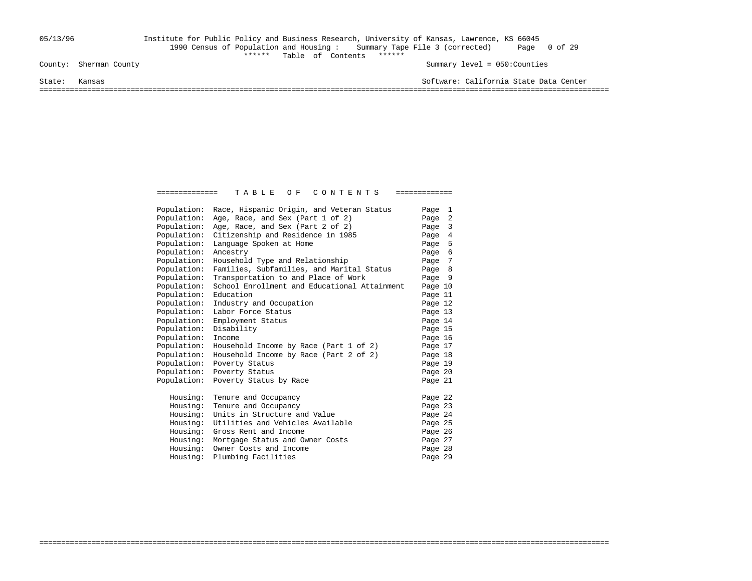# 05/13/96 Institute for Public Policy and Business Research, University of Kansas, Lawrence, KS 66045 1990 Census of Population and Housing : Summary Tape File 3 (corrected) Page 0 of 29 \*\*\*\*\*\* Table of Contents \*\*\*\*\*\*

Summary level = 050:Counties

State: Kansas Software: California State Data Center

===================================================================================================================================

| Population: | Race, Hispanic Origin, and Veteran Status    | Page 1  |  |
|-------------|----------------------------------------------|---------|--|
| Population: | Age, Race, and Sex (Part 1 of 2)             | Page 2  |  |
| Population: | Age, Race, and Sex (Part 2 of 2)             | Page 3  |  |
| Population: | Citizenship and Residence in 1985            | Page 4  |  |
| Population: | Language Spoken at Home                      | Page 5  |  |
| Population: | Ancestry                                     | Page 6  |  |
| Population: | Household Type and Relationship              | Page 7  |  |
| Population: | Families, Subfamilies, and Marital Status    | Page 8  |  |
| Population: | Transportation to and Place of Work          | Page 9  |  |
| Population: | School Enrollment and Educational Attainment | Page 10 |  |
| Population: | Education                                    | Page 11 |  |
| Population: | Industry and Occupation                      | Page 12 |  |
| Population: | Labor Force Status                           | Page 13 |  |
| Population: | Employment Status                            | Page 14 |  |
| Population: | Disability                                   | Page 15 |  |
| Population: | Income                                       | Page 16 |  |
| Population: | Household Income by Race (Part 1 of 2)       | Page 17 |  |
| Population: | Household Income by Race (Part 2 of 2)       | Page 18 |  |
| Population: | Poverty Status                               | Page 19 |  |
| Population: | Poverty Status                               | Page 20 |  |
| Population: | Poverty Status by Race                       | Page 21 |  |
| Housing:    | Tenure and Occupancy                         | Page 22 |  |
| Housing:    | Tenure and Occupancy                         | Page 23 |  |
| Housing:    | Units in Structure and Value                 | Page 24 |  |
| Housing:    | Utilities and Vehicles Available             | Page 25 |  |
| Housing:    | Gross Rent and Income                        | Page 26 |  |
| Housing:    | Mortgage Status and Owner Costs              | Page 27 |  |
| Housing:    | Owner Costs and Income                       | Page 28 |  |
| Housing:    | Plumbing Facilities                          | Page 29 |  |

===================================================================================================================================

============== T A B L E O F C O N T E N T S =============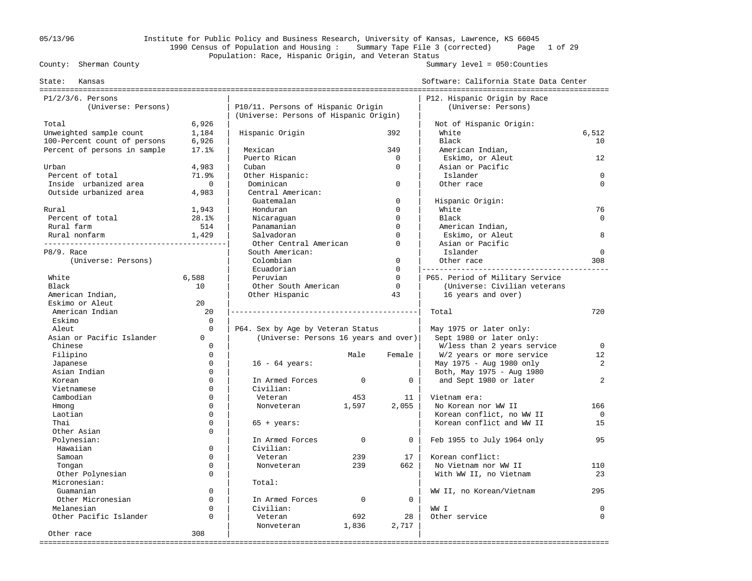# 05/13/96 Institute for Public Policy and Business Research, University of Kansas, Lawrence, KS 66045 1990 Census of Population and Housing : Summary Tape File 3 (corrected) Page 1 of 29 Population: Race, Hispanic Origin, and Veteran Status<br>County: Sherman County

### Summary level =  $050$ : Counties

| State:<br>Kansas                       |             |                                        |             |              | Software: California State Data Center |             |
|----------------------------------------|-------------|----------------------------------------|-------------|--------------|----------------------------------------|-------------|
| $P1/2/3/6$ . Persons                   |             |                                        |             |              | P12. Hispanic Origin by Race           |             |
| (Universe: Persons)                    |             | P10/11. Persons of Hispanic Origin     |             |              | (Universe: Persons)                    |             |
|                                        |             | (Universe: Persons of Hispanic Origin) |             |              |                                        |             |
| Total                                  | 6,926       |                                        |             |              | Not of Hispanic Origin:                |             |
| Unweighted sample count                | 1,184       | Hispanic Origin                        |             | 392          | White                                  | 6,512       |
| 100-Percent count of persons           | 6,926       |                                        |             |              | Black                                  | 10          |
| Percent of persons in sample           | 17.1%       | Mexican                                |             | 349          | American Indian,                       |             |
|                                        |             | Puerto Rican                           |             | $\mathbf 0$  | Eskimo, or Aleut                       | 12          |
| Urban                                  | 4,983       | Cuban                                  |             | $\Omega$     | Asian or Pacific                       |             |
| Percent of total                       | 71.9%       | Other Hispanic:                        |             |              | Islander                               | $\Omega$    |
| Inside urbanized area                  | $\mathbf 0$ | Dominican                              |             | $\mathbf 0$  | Other race                             | $\Omega$    |
| Outside urbanized area                 | 4,983       | Central American:                      |             |              |                                        |             |
|                                        |             | Guatemalan                             |             | $\mathbf 0$  | Hispanic Origin:                       |             |
| Rural                                  | 1,943       | Honduran                               |             | $\Omega$     | White                                  | 76          |
| Percent of total                       | 28.1%       | Nicaraquan                             |             | $\Omega$     | Black                                  | $\Omega$    |
| Rural farm                             | 514         | Panamanian                             |             | $\Omega$     | American Indian,                       |             |
| Rural nonfarm                          | 1,429       | Salvadoran                             |             | $\Omega$     | Eskimo, or Aleut                       | 8           |
| -------------------------------------- |             | Other Central American                 |             | $\Omega$     | Asian or Pacific                       |             |
| P8/9. Race                             |             | South American:                        |             |              | Islander                               | $\mathbf 0$ |
| (Universe: Persons)                    |             | Colombian                              |             | $\mathbf 0$  | Other race                             | 308         |
|                                        |             | Ecuadorian                             |             | $\Omega$     |                                        |             |
| White                                  | 6,588       | Peruvian                               |             | $\Omega$     | P65. Period of Military Service        |             |
| Black                                  | 10          | Other South American                   |             | $\mathbf 0$  | (Universe: Civilian veterans           |             |
| American Indian,                       |             | Other Hispanic                         |             | 43           | 16 years and over)                     |             |
| Eskimo or Aleut                        | 20          |                                        |             |              |                                        |             |
| American Indian                        | 20          |                                        |             |              | Total                                  | 720         |
| Eskimo                                 | $\Omega$    |                                        |             |              |                                        |             |
| Aleut                                  | $\Omega$    | P64. Sex by Age by Veteran Status      |             |              | May 1975 or later only:                |             |
| Asian or Pacific Islander              | $\Omega$    | (Universe: Persons 16 years and over)  |             |              | Sept 1980 or later only:               |             |
| Chinese                                | $\Omega$    |                                        |             |              | W/less than 2 years service            | $\Omega$    |
| Filipino                               | $\Omega$    |                                        | Male        | Female       | W/2 years or more service              | 12          |
| Japanese                               | $\Omega$    | $16 - 64 \text{ years}$ :              |             |              | May 1975 - Aug 1980 only               | 2           |
| Asian Indian                           | $\Omega$    |                                        |             |              | Both, May 1975 - Aug 1980              |             |
| Korean                                 | $\Omega$    | In Armed Forces                        | $\mathbf 0$ | 0            | and Sept 1980 or later                 | 2           |
| Vietnamese                             | $\Omega$    | Civilian:                              |             |              |                                        |             |
| Cambodian                              | $\Omega$    | Veteran                                | 453         | 11           | Vietnam era:                           |             |
| Hmong                                  | $\Omega$    | Nonveteran                             | 1,597       | 2,055        | No Korean nor WW II                    | 166         |
| Laotian                                | $\Omega$    |                                        |             |              | Korean conflict, no WW II              | $\mathbf 0$ |
| Thai                                   | $\Omega$    | $65 + years$ :                         |             |              | Korean conflict and WW II              | 15          |
| Other Asian                            | $\Omega$    |                                        |             |              |                                        |             |
| Polynesian:                            |             | In Armed Forces                        | $\Omega$    | $\mathbf{0}$ | Feb 1955 to July 1964 only             | 95          |
| Hawaiian                               | $\Omega$    | Civilian:                              |             |              |                                        |             |
| Samoan                                 | $\Omega$    | Veteran                                | 239         | 17           | Korean conflict:                       |             |
| Tongan                                 | $\Omega$    | Nonveteran                             | 239         | 662          | No Vietnam nor WW II                   | 110         |
| Other Polynesian                       | $\Omega$    |                                        |             |              | With WW II, no Vietnam                 | 23          |
| Micronesian:                           |             | Total:                                 |             |              |                                        |             |
| Guamanian                              | $\Omega$    |                                        |             |              | WW II, no Korean/Vietnam               | 295         |
| Other Micronesian                      | $\Omega$    | In Armed Forces                        | $\mathbf 0$ | 0            |                                        |             |
| Melanesian                             | $\Omega$    | Civilian:                              |             |              | WW I                                   | $\Omega$    |
| Other Pacific Islander                 | $\Omega$    | Veteran                                | 692         | 28           | Other service                          | $\Omega$    |
|                                        |             | Nonveteran                             |             |              |                                        |             |
|                                        |             |                                        | 1,836       | 2,717        |                                        |             |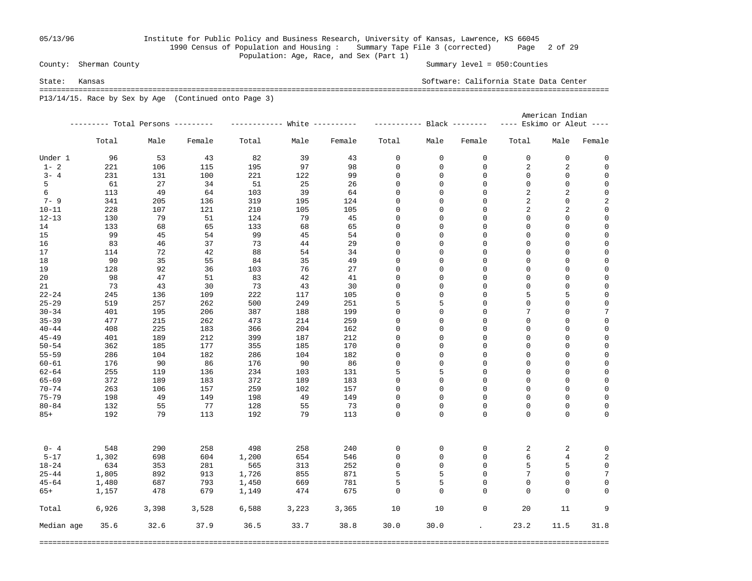# 05/13/96 Institute for Public Policy and Business Research, University of Kansas, Lawrence, KS 66045 1990 Census of Population and Housing : Summary Tape File 3 (corrected) Page 2 of 29 Population: Age, Race, and Sex (Part 1)<br>County: Sherman County

Summary level =  $050$ : Counties

State: Kansas Software: California State Data Center =================================================================================================================================== P13/14/15. Race by Sex by Age (Continued onto Page 3)

|            |       |                                   |        |              |            |        |             | American Indian |                            |                           |                  |                  |  |
|------------|-------|-----------------------------------|--------|--------------|------------|--------|-------------|-----------------|----------------------------|---------------------------|------------------|------------------|--|
|            |       | --------- Total Persons --------- |        |              |            |        |             |                 |                            | ---- Eskimo or Aleut ---- |                  |                  |  |
|            | Total | Male                              | Female | Total        | Male       | Female | Total       | Male            | Female                     | Total                     | Male             | Female           |  |
| Under 1    | 96    | 53                                | 43     | 82           | 39         | 43     | 0           | 0               | 0                          | 0                         | $\mathsf 0$      | 0                |  |
| $1 - 2$    | 221   | 106                               | 115    | 195          | 97         | 98     | 0           | 0               | $\mathbf 0$                | 2                         | 2                | 0                |  |
| $3 - 4$    | 231   | 131                               | 100    | 221          | 122        | 99     | 0           | 0               | 0                          | 0                         | 0                | $\mathbf 0$      |  |
| 5          | 61    | 27                                | 34     | 51           | 25         | 26     | 0           | 0               | $\mathbf{0}$               | $\mathsf 0$               | $\mathsf 0$      | $\mathbf 0$      |  |
| 6          | 113   | 49                                | 64     | 103          | 39         | 64     | 0           | 0               | $\mathbf{0}$               | $\overline{2}$            | 2                | $\mathbf 0$      |  |
| $7 - 9$    | 341   | 205                               | 136    | 319          | 195        | 124    | 0           | 0               | $\mathbf 0$                | $\sqrt{2}$                | $\mathbf 0$      | $\overline{a}$   |  |
| $10 - 11$  | 228   | 107                               | 121    | 210          | 105        | 105    | 0           | 0               | $\mathbf 0$                | 2                         | 2                | $\mathbf 0$      |  |
| $12 - 13$  | 130   | 79                                | 51     | 124          | 79         | 45     | 0           | 0               | 0                          | 0                         | $\mathsf 0$      | $\mathbf 0$      |  |
| 14         | 133   | 68                                | 65     | 133          | 68         | 65     | 0           | 0               | 0                          | 0                         | $\mathsf 0$      | $\mathbf 0$      |  |
| 15         | 99    | 45                                | 54     | 99           | 45         | 54     | 0           | 0               | $\mathbf 0$                | $\mathbf 0$               | 0                | 0                |  |
| 16         | 83    | 46                                | 37     | 73           | 44         | 29     | $\mathbf 0$ | 0               | $\mathbf{0}$               | $\mathbf 0$               | $\mathbf 0$      | $\mathbf 0$      |  |
| 17         | 114   | 72                                | 42     | 88           | 54         | 34     | $\mathbf 0$ | 0               | $\mathbf{0}$               | $\mathbf 0$               | $\mathbf 0$      | $\mathbf 0$      |  |
| 18         | 90    | 35                                | 55     | 84           | 35         | 49     | 0           | 0               | $\mathbf{0}$               | $\mathbf 0$               | $\mathbf 0$      | $\mathbf 0$      |  |
| 19         | 128   | 92                                | 36     | 103          | 76         | 27     | 0           | 0               | $\mathbf{0}$               | $\mathbf 0$               | $\mathbf 0$      | $\mathbf 0$      |  |
| 20         | 98    | 47                                | 51     | 83           | 42         | 41     | 0           | 0               | $\mathbf 0$                | $\mathsf 0$               | $\mathbf 0$      | $\mathbf 0$      |  |
| 21         | 73    | 43                                | 30     | 73           | 43         | 30     | 0           | 0               | $\mathbf 0$                | $\mathsf 0$               | $\mathbf 0$      | $\mathsf 0$      |  |
| $22 - 24$  | 245   | 136                               | 109    | 222          | 117        | 105    | $\mathbf 0$ | 0               | $\mathbf 0$                | 5                         | 5                | $\mathbf 0$      |  |
| $25 - 29$  | 519   | 257                               | 262    | 500          | 249        | 251    | 5           | 5               | $\mathbf 0$                | $\overline{0}$            | $\mathbf 0$      | $\mathsf 0$      |  |
| $30 - 34$  | 401   | 195                               | 206    | 387          | 188        | 199    | $\mathbf 0$ | 0               | $\mathbf 0$                | 7                         | $\mathbf 0$      | $\overline{7}$   |  |
| $35 - 39$  | 477   | 215                               | 262    | 473          | 214        | 259    | 0           | 0               | $\mathbf 0$                | $\overline{0}$            | $\mathbf 0$      | $\mathsf 0$      |  |
| $40 - 44$  | 408   | 225                               | 183    | 366          | 204        | 162    | 0           | 0               | $\mathbf 0$                | $\mathbf 0$               | $\mathbf 0$      | $\mathbf 0$      |  |
| $45 - 49$  | 401   | 189                               | 212    | 399          | 187        | 212    | 0           | 0               | $\mathbf 0$                | $\mathsf 0$               | $\mathbf 0$      | $\mathbf 0$      |  |
| $50 - 54$  | 362   | 185                               | 177    | 355          | 185        | 170    | 0           | 0               | $\Omega$                   | 0                         | $\mathbf 0$      | 0                |  |
| $55 - 59$  | 286   | 104                               | 182    | 286          | 104        | 182    | 0           | 0               | $\Omega$                   | $\mathbf 0$               | 0                | $\mathbf 0$      |  |
| $60 - 61$  | 176   | 90                                | 86     | 176          | 90         | 86     | 0           | 0               | $\Omega$                   | $\mathbf 0$               | $\mathbf 0$      | $\mathbf 0$      |  |
| $62 - 64$  | 255   | 119                               | 136    | 234          | 103        | 131    | 5           | 5               | $\mathbf 0$                | $\mathbf 0$               | $\mathbf 0$      | $\mathsf 0$      |  |
| $65 - 69$  | 372   | 189                               | 183    | 372          | 189        | 183    | 0           | 0               | $\mathbf 0$                | $\mathbf 0$               | 0                | $\mathbf 0$      |  |
| $70 - 74$  | 263   | 106                               | 157    | 259          | 102        | 157    | 0           | 0               | $\mathbf{0}$               | $\mathsf 0$               | $\mathbf 0$      | $\mathbf 0$      |  |
| $75 - 79$  | 198   | 49                                | 149    | 198          | 49         | 149    | 0           | 0               | $\mathbf 0$                | $\mathbf 0$               | 0                | $\mathbf 0$      |  |
| $80 - 84$  | 132   | 55                                | 77     | 128          | 55         | 73     | 0           | 0               | $\mathbf 0$                | $\mathbf 0$               | $\mathbf 0$      | 0                |  |
| $85+$      | 192   | 79                                | 113    | 192          | 79         | 113    | $\Omega$    | $\Omega$        | $\Omega$                   | $\Omega$                  | $\Omega$         | 0                |  |
| $0 - 4$    | 548   | 290                               | 258    | 498          | 258        | 240    | 0           | 0               | 0                          |                           |                  | $\mathbf 0$      |  |
| $5 - 17$   | 1,302 | 698                               | 604    | 1,200        | 654        | 546    | $\mathsf 0$ | 0               | $\mathbf 0$                | 2<br>6                    | 2                |                  |  |
|            |       |                                   |        |              |            |        |             | 0               | $\mathbf{0}$               | 5                         | $\overline{4}$   | $\boldsymbol{2}$ |  |
| $18 - 24$  | 634   | 353                               | 281    | 565<br>1,726 | 313<br>855 | 252    | 0<br>5      |                 | $\Omega$                   | 7                         | 5<br>$\mathbf 0$ | $\mathsf 0$<br>7 |  |
| $25 - 44$  | 1,805 | 892                               | 913    |              |            | 871    |             | 5               | $\Omega$                   | $\Omega$                  |                  |                  |  |
| $45 - 64$  | 1,480 | 687                               | 793    | 1,450        | 669        | 781    | 5           | 5               |                            |                           | $\mathbf 0$      | $\mathbf 0$      |  |
| $65+$      | 1,157 | 478                               | 679    | 1,149        | 474        | 675    | $\mathbf 0$ | 0               | $\mathbf 0$                | $\mathbf 0$               | $\mathbf 0$      | $\Omega$         |  |
| Total      | 6,926 | 3,398                             | 3,528  | 6,588        | 3,223      | 3,365  | 10          | 10              | $\mathbf 0$                | 20                        | 11               | 9                |  |
| Median age | 35.6  | 32.6                              | 37.9   | 36.5         | 33.7       | 38.8   | 30.0        | 30.0            | $\mathcal{L}^{\text{max}}$ | 23.2                      | 11.5             | 31.8             |  |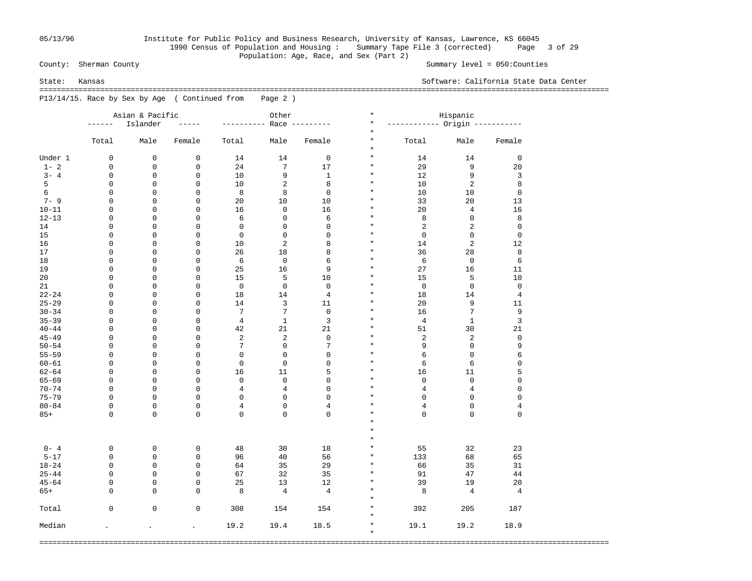# 05/13/96 Institute for Public Policy and Business Research, University of Kansas, Lawrence, KS 66045 1990 Census of Population and Housing : Summary Tape File 3 (corrected) Page 3 of 29 Population: Age, Race, and Sex (Part 2)<br>County: Sherman County

Summary level =  $050$ : Counties

State: Kansas Software: California State Data Center

 =================================================================================================================================== P13/14/15. Race by Sex by Age ( Continued from Page 2 )

|           |             | Asian & Pacific |                      |                | Other           |                | $\star$              | Hispanic                      |                 |                |  |  |  |  |
|-----------|-------------|-----------------|----------------------|----------------|-----------------|----------------|----------------------|-------------------------------|-----------------|----------------|--|--|--|--|
|           | ------      | Islander        | $- - - - -$          | -------        |                 | Race --------- | $\star$              | ----------- Origin ---------- |                 |                |  |  |  |  |
|           | Total       | Male            | Female               | Total          | Male            | Female         | $^\star$<br>$^\star$ | Total                         | Male            | Female         |  |  |  |  |
|           |             |                 |                      |                |                 |                | $^\star$             |                               |                 |                |  |  |  |  |
| Under 1   | 0           | 0               | $\mathbf 0$          | 14             | 14              | $\mathbf 0$    | $\star$              | 14                            | 14              | $\mathbf 0$    |  |  |  |  |
| $1 - 2$   | $\mathbf 0$ | 0               | $\mathbf 0$          | 24             | 7               | 17             | $\star$              | 29                            | 9               | 20             |  |  |  |  |
| $3 - 4$   | $\mathsf 0$ | 0               | 0                    | 10             | 9               | $\mathbf{1}$   | $\star$              | 12                            | 9               | 3              |  |  |  |  |
| 5         | $\mathsf 0$ | 0               | 0                    | 10             | $\overline{2}$  | 8              | $\star$              | 10                            | 2               | 8              |  |  |  |  |
| 6         | $\mathbf 0$ | 0               | 0                    | 8              | 8               | $\mathbf 0$    | $^\star$             | 10                            | 10              | $\mathbf 0$    |  |  |  |  |
| $7 - 9$   | $\mathsf 0$ | 0               | 0                    | 20             | 10              | 10             | $^\star$             | 33                            | 20              | 13             |  |  |  |  |
| $10 - 11$ | $\mathbf 0$ | 0               | 0                    | 16             | $\mathbf 0$     | 16             | $^\star$             | 20                            | $\overline{4}$  | 16             |  |  |  |  |
| $12 - 13$ | $\mathsf 0$ | 0               | 0                    | 6              | $\mathsf 0$     | 6              | $\star$              | 8                             | $\mathbf 0$     | 8              |  |  |  |  |
| 14        | $\mathbf 0$ | 0               | 0                    | $\mathsf 0$    | $\mathsf 0$     | $\mathbf 0$    | $^\star$             | 2                             | $\overline{2}$  | $\mathbf 0$    |  |  |  |  |
| 15        | $\mathsf 0$ | 0               | $\mathsf 0$          | $\mathsf 0$    | $\mathsf 0$     | 0              | $\star$              | $\mathbf 0$                   | $\mathbf 0$     | $\mathbf 0$    |  |  |  |  |
| 16        | $\mathbf 0$ | 0               | 0                    | 10             | $\overline{a}$  | 8              | $^\star$             | 14                            | $\overline{2}$  | 12             |  |  |  |  |
| 17        | $\mathsf 0$ | 0               | 0                    | 26             | 18              | 8              | $\star$              | 36                            | 28              | 8              |  |  |  |  |
| 18        | $\mathbf 0$ | 0               | 0                    | 6              | $\mathbf 0$     | 6              | $^\star$             | 6                             | $\mathbf 0$     | 6              |  |  |  |  |
| 19        | $\mathsf 0$ | 0               | $\mathsf 0$          | 25             | 16              | 9              | $\star$              | 27                            | 16              | 11             |  |  |  |  |
| 20        | $\mathbf 0$ | 0               | $\mathbf 0$          | 15             | 5               | 10             | $^\star$             | 15                            | 5               | 10             |  |  |  |  |
| 21        | $\mathbf 0$ | 0               | 0                    | $\mathbf 0$    | $\mathsf 0$     | $\mathbf 0$    | $\star$              | $\mathbf 0$                   | $\mathbf 0$     | $\mathbf 0$    |  |  |  |  |
| $22 - 24$ | $\mathbf 0$ | 0               | 0                    | 18             | 14              | $\overline{4}$ | $\star$              | 18                            | 14              | $\overline{4}$ |  |  |  |  |
| $25 - 29$ | $\mathbf 0$ | 0               | 0                    | 14             | 3               | 11             | $\star$              | 20                            | 9               | 11             |  |  |  |  |
| $30 - 34$ | $\mathbf 0$ | 0               | $\mathbf 0$          | 7              | $7\overline{ }$ | $\mathbf 0$    | $\star$              | 16                            | $7\phantom{.0}$ | 9              |  |  |  |  |
| $35 - 39$ | $\mathbf 0$ | 0               | $\mathbf 0$          | $\overline{4}$ | $\mathbf{1}$    | 3              | $\star$              | $\overline{4}$                | $\mathbf{1}$    | 3              |  |  |  |  |
| $40 - 44$ | 0           | 0               | 0                    | 42             | 21              | 21             | $\ast$               | 51                            | 30              | 21             |  |  |  |  |
| $45 - 49$ | $\mathbf 0$ | 0               | 0                    | $\sqrt{2}$     | $\overline{c}$  | $\mathbf 0$    | $\star$              | $\overline{\mathbf{c}}$       | $\sqrt{2}$      | $\mathsf 0$    |  |  |  |  |
| $50 - 54$ | 0           | 0               | 0                    | 7              | $\mathsf 0$     | $\overline{7}$ | $^\star$             | 9                             | $\mathbf 0$     | 9              |  |  |  |  |
| $55 - 59$ | $\mathbf 0$ | 0               | $\mathbf 0$          | $\mathsf 0$    | $\mathsf 0$     | 0              | $\star$              | 6                             | $\mathbf 0$     | 6              |  |  |  |  |
| $60 - 61$ | 0           | 0               | 0                    | $\mathsf 0$    | $\mathbf 0$     | 0              | $^\star$             | 6                             | 6               | 0              |  |  |  |  |
| $62 - 64$ | $\mathbf 0$ | 0               | $\mathbf 0$          | 16             | 11              | 5              | $\star$              | 16                            | 11              | 5              |  |  |  |  |
| $65 - 69$ | $\mathbf 0$ | 0               | 0                    | $\mathsf 0$    | $\mathbf 0$     | 0              | $^\star$             | $\mathbf 0$                   | $\mathbf 0$     | $\mathsf 0$    |  |  |  |  |
| $70 - 74$ | $\mathbf 0$ | 0               | $\mathbf 0$          | $\,4$          | $\,4$           | 0              | $\star$              | $\,4$                         | $\,4$           | $\mathsf 0$    |  |  |  |  |
| $75 - 79$ | $\mathbf 0$ | 0               | $\mathsf 0$          | $\mathsf 0$    | $\mathsf 0$     | 0              | $^\star$             | 0                             | $\mathbf 0$     | $\mathbf{0}$   |  |  |  |  |
| $80 - 84$ | $\mathbf 0$ | 0               | $\mathsf 0$          | $\,4$          | $\mathsf 0$     | 4              | $\star$              | $\overline{4}$                | $\mathbf 0$     | 4              |  |  |  |  |
| $85+$     | $\Omega$    | 0               | 0                    | $\mathbf 0$    | $\mathbf 0$     | 0              | $\star$              | $\mathbf 0$                   | $\mathbf 0$     | $\mathbf{0}$   |  |  |  |  |
|           |             |                 |                      |                |                 |                | $\star$              |                               |                 |                |  |  |  |  |
|           |             |                 |                      |                |                 |                | $\star$              |                               |                 |                |  |  |  |  |
|           |             |                 |                      |                |                 |                | $\star$              |                               |                 |                |  |  |  |  |
| $0 - 4$   | $\mathbf 0$ | 0               | $\mathbf 0$          | 48             | 30              | 18             | $\star$              | 55                            | 32              | 23             |  |  |  |  |
| $5 - 17$  | $\mathbf 0$ | $\mathbf 0$     | 0                    | 96             | 40              | 56             | $\star$              | 133                           | 68              | 65             |  |  |  |  |
| $18 - 24$ | $\mathbf 0$ | $\mathbf 0$     | $\mathsf 0$          | 64             | 35              | 29             | $\star$              | 66                            | 35              | 31             |  |  |  |  |
| $25 - 44$ | $\mathbf 0$ | $\mathbf 0$     | 0                    | 67             | 32              | 35             | $\star$              | 91                            | 47              | 44             |  |  |  |  |
| $45 - 64$ | $\mathbf 0$ | $\mathbf 0$     | 0                    | 25             | 13              | 12             | $\star$              | 39                            | 19              | 20             |  |  |  |  |
| $65+$     | $\mathbf 0$ | $\mathbf 0$     | 0                    | 8              | $\overline{4}$  | 4              | $\star$              | 8                             | 4               | $\overline{4}$ |  |  |  |  |
|           |             |                 |                      |                |                 |                | $\star$              |                               |                 |                |  |  |  |  |
| Total     | $\mathbf 0$ | $\mathbf 0$     | $\mathbf 0$          | 308            | 154             | 154            | $\star$              | 392                           | 205             | 187            |  |  |  |  |
|           |             |                 |                      |                |                 |                | $\star$              |                               |                 |                |  |  |  |  |
| Median    |             | $\cdot$         | $\ddot{\phantom{a}}$ | 19.2           | 19.4            | 18.5           | $\star$              | 19.1                          | 19.2            | 18.9           |  |  |  |  |
|           |             |                 |                      |                |                 |                | $\star$              |                               |                 |                |  |  |  |  |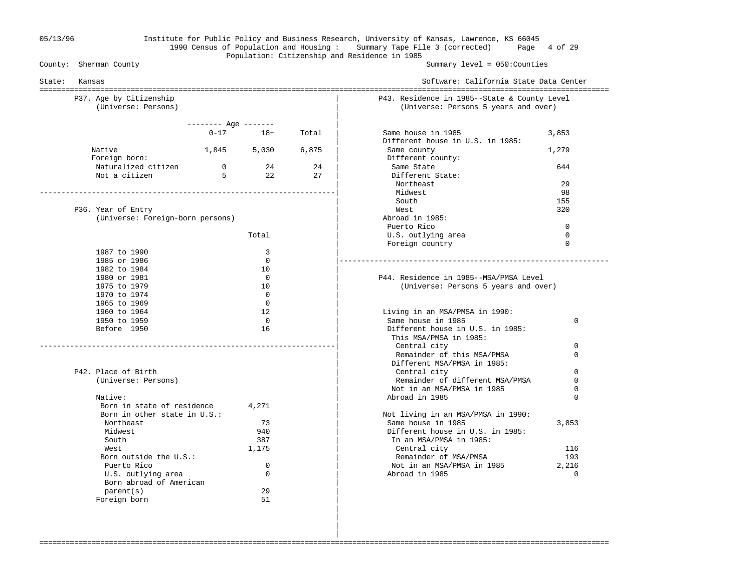### 05/13/96 Institute for Public Policy and Business Research, University of Kansas, Lawrence, KS 66045 1990 Census of Population and Housing : Summary Tape File 3 (corrected) Page 4 of 29 Population: Citizenship and Residence in 1985<br>County: Sherman County

Summary level =  $050$ : Counties

| State:<br>Kansas                               |                      |                |       | Software: California State Data Center                                               |             |
|------------------------------------------------|----------------------|----------------|-------|--------------------------------------------------------------------------------------|-------------|
| P37. Age by Citizenship<br>(Universe: Persons) |                      |                |       | P43. Residence in 1985--State & County Level<br>(Universe: Persons 5 years and over) |             |
|                                                |                      |                |       |                                                                                      |             |
|                                                | -------- Age ------- |                |       |                                                                                      |             |
|                                                | $0 - 17$             | $18+$          | Total | Same house in 1985<br>Different house in U.S. in 1985:                               | 3,853       |
| Native                                         |                      | 1,845 5,030    | 6,875 | Same county                                                                          | 1,279       |
| Foreign born:                                  |                      |                |       | Different county:                                                                    |             |
| Naturalized citizen                            | $\overline{0}$       | 24             | 24    | Same State                                                                           | 644         |
| Not a citizen                                  | $5^{\circ}$          | 2.2            | 2.7   | Different State:                                                                     |             |
|                                                |                      |                |       | Northeast                                                                            | 29          |
|                                                |                      |                |       | Midwest                                                                              | 98          |
|                                                |                      |                |       | South                                                                                | 155         |
| P36. Year of Entry                             |                      |                |       | West                                                                                 | 320         |
| (Universe: Foreign-born persons)               |                      |                |       | Abroad in 1985:                                                                      |             |
|                                                |                      |                |       | Puerto Rico                                                                          | $\mathbf 0$ |
|                                                |                      | Total          |       | U.S. outlying area                                                                   | $\Omega$    |
|                                                |                      |                |       | Foreign country                                                                      | $\Omega$    |
| 1987 to 1990                                   |                      | 3<br>$\Omega$  |       |                                                                                      |             |
| 1985 or 1986<br>1982 to 1984                   |                      | 10             |       |                                                                                      |             |
| 1980 or 1981                                   |                      | $\Omega$       |       | P44. Residence in 1985--MSA/PMSA Level                                               |             |
| 1975 to 1979                                   |                      | 10             |       | (Universe: Persons 5 years and over)                                                 |             |
| 1970 to 1974                                   |                      | $\Omega$       |       |                                                                                      |             |
| 1965 to 1969                                   |                      | $\Omega$       |       |                                                                                      |             |
| 1960 to 1964                                   |                      | 12             |       | Living in an MSA/PMSA in 1990:                                                       |             |
| 1950 to 1959                                   |                      | $\overline{0}$ |       | Same house in 1985                                                                   | 0           |
| Before 1950                                    |                      | 16             |       | Different house in U.S. in 1985:                                                     |             |
|                                                |                      |                |       | This MSA/PMSA in 1985:                                                               |             |
|                                                |                      |                |       | Central city                                                                         | 0           |
|                                                |                      |                |       | Remainder of this MSA/PMSA                                                           | $\Omega$    |
|                                                |                      |                |       | Different MSA/PMSA in 1985:                                                          |             |
| P42. Place of Birth                            |                      |                |       | Central city                                                                         | $\Omega$    |
| (Universe: Persons)                            |                      |                |       | Remainder of different MSA/PMSA                                                      | $\mathbf 0$ |
|                                                |                      |                |       | Not in an MSA/PMSA in 1985                                                           | 0           |
| Native:<br>Born in state of residence          |                      |                |       | Abroad in 1985                                                                       | $\Omega$    |
| Born in other state in U.S.:                   |                      | 4,271          |       | Not living in an MSA/PMSA in 1990:                                                   |             |
| Northeast                                      |                      | 73             |       | Same house in 1985                                                                   | 3,853       |
| Midwest                                        |                      | 940            |       | Different house in U.S. in 1985:                                                     |             |
| South                                          |                      | 387            |       | In an MSA/PMSA in 1985:                                                              |             |
| West                                           |                      | 1,175          |       | Central city                                                                         | 116         |
| Born outside the U.S.:                         |                      |                |       | Remainder of MSA/PMSA                                                                | 193         |
| Puerto Rico                                    |                      | $\mathbf 0$    |       | Not in an MSA/PMSA in 1985                                                           | 2,216       |
| U.S. outlying area                             |                      | $\Omega$       |       | Abroad in 1985                                                                       | $\Omega$    |
| Born abroad of American                        |                      |                |       |                                                                                      |             |
| parent(s)                                      |                      | 29             |       |                                                                                      |             |
| Foreign born                                   |                      | 51             |       |                                                                                      |             |

===================================================================================================================================

 | | |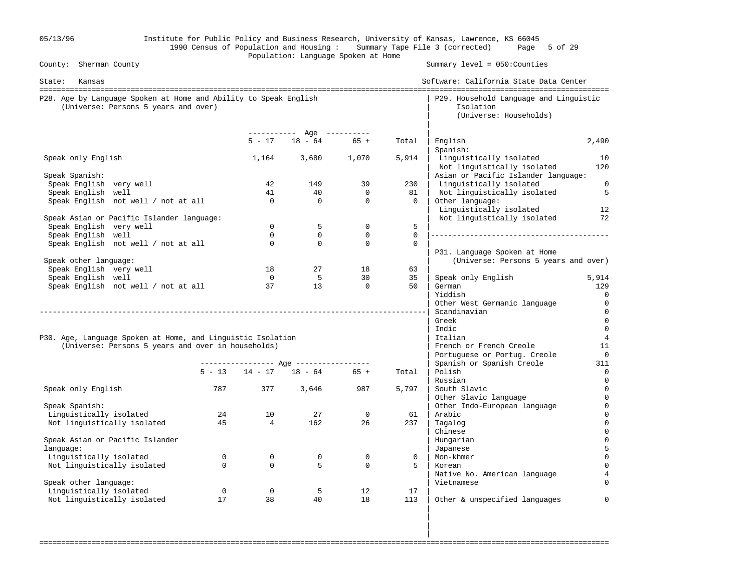| 05/13/96                                                                                                 |                         |                                | Population: Language Spoken at Home            |                            |                   | Institute for Public Policy and Business Research, University of Kansas, Lawrence, KS 66045<br>1990 Census of Population and Housing: Summary Tape File 3 (corrected) Page 5 of 29 |                      |
|----------------------------------------------------------------------------------------------------------|-------------------------|--------------------------------|------------------------------------------------|----------------------------|-------------------|------------------------------------------------------------------------------------------------------------------------------------------------------------------------------------|----------------------|
| County: Sherman County                                                                                   |                         |                                |                                                |                            |                   | Summary $level = 050$ : Counties                                                                                                                                                   |                      |
| State: Kansas                                                                                            |                         |                                |                                                |                            |                   | Software: California State Data Center                                                                                                                                             |                      |
| P28. Age by Language Spoken at Home and Ability to Speak English<br>(Universe: Persons 5 years and over) |                         |                                |                                                |                            |                   | P29. Household Language and Linguistic<br>Isolation<br>(Universe: Households)                                                                                                      |                      |
|                                                                                                          |                         |                                | ----------- Age ----------<br>$5 - 17$ 18 - 64 | $65 +$                     | Total             | English                                                                                                                                                                            | 2,490                |
| Speak only English                                                                                       |                         |                                | 1,164 3,680 1,070                              |                            | 5,914             | Spanish:<br>Linguistically isolated<br>Not linguistically isolated                                                                                                                 | 10<br>120            |
| Speak Spanish:                                                                                           |                         |                                |                                                |                            |                   | Asian or Pacific Islander language:                                                                                                                                                |                      |
| Speak English very well                                                                                  |                         | 42<br>41                       | 149<br>40                                      | 39<br>$\mathbf 0$          | 230<br>81         | Linguistically isolated                                                                                                                                                            | $\overline{0}$       |
| Speak English well<br>Speak English not well / not at all                                                |                         | $\overline{0}$                 | $\mathsf{O}$                                   | $\mathbf 0$                | $\overline{0}$    | Not linguistically isolated<br>Other language:<br>Linguistically isolated                                                                                                          | 5<br>12              |
| Speak Asian or Pacific Islander language:                                                                |                         |                                |                                                |                            |                   | Not linguistically isolated                                                                                                                                                        | 72                   |
| Speak English very well<br>Speak English well                                                            |                         | $\Omega$<br>$\mathbf 0$        | 5<br>$\mathbf 0$                               | $\mathbf 0$<br>$\mathbf 0$ | 5<br>$\mathbf{0}$ |                                                                                                                                                                                    |                      |
| Speak English not well / not at all                                                                      |                         | $\mathbf 0$                    | $\mathbf 0$                                    | $\Omega$                   | $\mathbf 0$       |                                                                                                                                                                                    |                      |
|                                                                                                          |                         |                                |                                                |                            |                   | P31. Language Spoken at Home                                                                                                                                                       |                      |
| Speak other language:                                                                                    |                         |                                |                                                |                            |                   | (Universe: Persons 5 years and over)                                                                                                                                               |                      |
| Speak English very well                                                                                  |                         | 18                             | 27                                             | 18                         | 63                |                                                                                                                                                                                    |                      |
| Speak English well                                                                                       |                         | $\overline{0}$                 | 5 <sup>5</sup>                                 | 30                         | 35                | Speak only English                                                                                                                                                                 | 5,914                |
| Speak English not well / not at all                                                                      |                         | 37                             | 13                                             | $\overline{0}$             | 50                | German<br>Yiddish                                                                                                                                                                  | 129<br>0             |
|                                                                                                          |                         |                                |                                                |                            |                   | Other West Germanic language                                                                                                                                                       | 0                    |
|                                                                                                          |                         |                                |                                                |                            |                   | Scandinavian                                                                                                                                                                       | 0                    |
|                                                                                                          |                         |                                |                                                |                            |                   | Greek                                                                                                                                                                              | $\mathbf 0$          |
|                                                                                                          |                         |                                |                                                |                            |                   | Indic                                                                                                                                                                              | $\overline{0}$       |
| P30. Age, Language Spoken at Home, and Linguistic Isolation                                              |                         |                                |                                                |                            |                   | Italian                                                                                                                                                                            | $\overline{4}$<br>11 |
| (Universe: Persons 5 years and over in households)                                                       |                         |                                |                                                |                            |                   | French or French Creole<br>Portuguese or Portug. Creole                                                                                                                            | 0                    |
|                                                                                                          |                         |                                |                                                |                            |                   | Spanish or Spanish Creole                                                                                                                                                          | 311                  |
|                                                                                                          |                         |                                | $5 - 13$ $14 - 17$ $18 - 64$ $65 +$            |                            | Total             | Polish                                                                                                                                                                             | 0                    |
|                                                                                                          |                         |                                |                                                |                            |                   | Russian                                                                                                                                                                            | 0                    |
| Speak only English                                                                                       | 787                     | 377                            | 3,646                                          | 987                        | 5,797             | South Slavic                                                                                                                                                                       | 0                    |
| Speak Spanish:                                                                                           |                         |                                |                                                |                            |                   | Other Slavic language<br>Other Indo-European language                                                                                                                              | $\mathbf 0$<br>0     |
| Linguistically isolated                                                                                  | 24                      | 10                             | 27                                             | $\mathbf 0$                | 61                | Arabic                                                                                                                                                                             | 0                    |
| Not linguistically isolated                                                                              | 45                      | $\overline{4}$                 | 162                                            | 26                         | 237               | Tagalog                                                                                                                                                                            | $\Omega$             |
|                                                                                                          |                         |                                |                                                |                            |                   | Chinese                                                                                                                                                                            |                      |
| Speak Asian or Pacific Islander                                                                          |                         |                                |                                                |                            |                   | Hungarian                                                                                                                                                                          |                      |
| language:                                                                                                |                         |                                |                                                |                            |                   | Japanese                                                                                                                                                                           |                      |
| Linguistically isolated                                                                                  | $\mathbf 0$<br>$\Omega$ | $\mathsf{O}$<br>$\overline{0}$ | 0<br>5                                         | $\mathbf 0$<br>$\mathbf 0$ | 0<br>5            | Mon-khmer<br>Korean                                                                                                                                                                |                      |
| Not linguistically isolated                                                                              |                         |                                |                                                |                            |                   | Native No. American language                                                                                                                                                       |                      |
| Speak other language:                                                                                    |                         |                                |                                                |                            |                   | Vietnamese                                                                                                                                                                         |                      |
| Linguistically isolated                                                                                  | $\mathbf 0$             | $\mathbf 0$                    | -5                                             | 12                         | 17                |                                                                                                                                                                                    |                      |
| Not linguistically isolated                                                                              | 17                      | 38                             | 40                                             | 18                         | 113               | Other & unspecified languages                                                                                                                                                      | $\Omega$             |
|                                                                                                          |                         |                                |                                                |                            |                   |                                                                                                                                                                                    |                      |

===================================================================================================================================

in the contract of the contract of the contract of the contract of the contract of the contract of the contract in the contract of the contract of the contract of the contract of the contract of the contract of the contract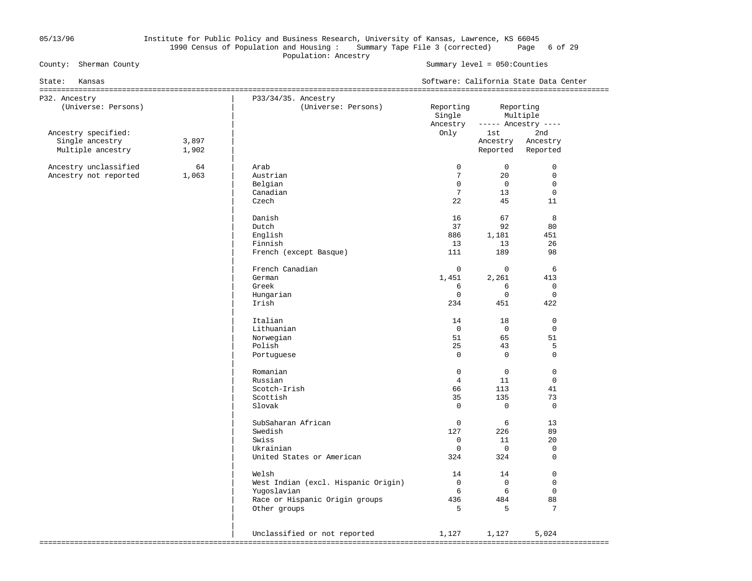### 05/13/96 Institute for Public Policy and Business Research, University of Kansas, Lawrence, KS 66045 1990 Census of Population and Housing : Summary Tape File 3 (corrected) Page 6 of 29 Population: Ancestry<br>
County: Sherman County<br>
County: Sherman County

Summary level =  $050$ : Counties

| State:<br>Kansas                     |                |                                            |                     |                      | Software: California State Data Center |
|--------------------------------------|----------------|--------------------------------------------|---------------------|----------------------|----------------------------------------|
| P32. Ancestry<br>(Universe: Persons) |                | P33/34/35. Ancestry<br>(Universe: Persons) | Reporting<br>Single | Reporting            | Multiple                               |
| Ancestry specified:                  |                |                                            | Ancestry<br>Only    | 1st i                | ----- Ancestry ----<br>2nd             |
| Single ancestry<br>Multiple ancestry | 3,897<br>1,902 |                                            |                     | Ancestry<br>Reported | Ancestry<br>Reported                   |
| Ancestry unclassified                | 64             | Arab                                       | $\mathbf{0}$        | $\overline{0}$       | $\mathbf 0$                            |
| Ancestry not reported                | 1,063          | Austrian                                   | $7\phantom{.0}$     | 20                   | $\mathbf 0$                            |
|                                      |                | Belgian                                    | $\Omega$            | $\overline{0}$       | $\mathbf 0$                            |
|                                      |                | Canadian                                   | $7\phantom{.0}$     | 13                   | $\mathbf 0$                            |
|                                      |                | Czech                                      | 22                  | 45                   | 11                                     |
|                                      |                | Danish                                     | 16                  | 67                   | 8                                      |
|                                      |                | Dutch                                      | 37                  | 92                   | 80                                     |
|                                      |                | English                                    | 886                 | 1,181                | 451                                    |
|                                      |                | Finnish                                    | 13                  | 13                   | 26                                     |
|                                      |                | French (except Basque)                     | 111                 | 189                  | 98                                     |
|                                      |                | French Canadian                            | $\mathbf{0}$        | $\mathbf 0$          | 6                                      |
|                                      |                | German                                     | 1,451               | 2,261                | 413                                    |
|                                      |                | Greek                                      | 6                   | 6                    | $\mathbf 0$                            |
|                                      |                | Hungarian                                  | $\mathbf 0$         | $\mathbf 0$          | $\mathbf 0$                            |
|                                      |                | Irish                                      | 234                 | 451                  | 422                                    |
|                                      |                | Italian                                    | 14                  | 18                   | $\Omega$                               |
|                                      |                | Lithuanian                                 | $\mathbf 0$         | $\mathbf 0$          | $\mathbf 0$                            |
|                                      |                | Norwegian                                  | 51                  | 65                   | 51                                     |
|                                      |                | Polish                                     | 25                  | 43                   | 5                                      |
|                                      |                | Portuguese                                 | $\mathbf 0$         | $\mathbf 0$          | $\mathbf 0$                            |
|                                      |                | Romanian                                   | $\Omega$            | $\Omega$             | $\Omega$                               |
|                                      |                | Russian                                    | $\overline{4}$      | 11                   | $\Omega$                               |
|                                      |                | Scotch-Irish                               | 66                  | 113                  | 41                                     |
|                                      |                | Scottish                                   | 35                  | 135                  | 73                                     |
|                                      |                | Slovak                                     | $\mathbf 0$         | $\mathbf 0$          | $\mathbf 0$                            |
|                                      |                | SubSaharan African                         | $\mathbf 0$         | 6                    | 13                                     |
|                                      |                | Swedish                                    | 127                 | 226                  | 89                                     |
|                                      |                | Swiss                                      | $\mathbf 0$         | 11                   | 20                                     |
|                                      |                | Ukrainian                                  | $\mathbf 0$         | $\overline{0}$       | $\mathbf 0$                            |
|                                      |                | United States or American                  | 324                 | 324                  | $\Omega$                               |
|                                      |                | Welsh                                      | 14                  | 14                   | $\mathbf 0$                            |
|                                      |                | West Indian (excl. Hispanic Origin)        | $\overline{0}$      | $\Omega$             | $\Omega$                               |
|                                      |                | Yugoslavian                                | 6                   | 6                    | $\mathbf 0$                            |
|                                      |                | Race or Hispanic Origin groups             | 436                 | 484                  | 88                                     |
|                                      |                | Other groups                               | 5                   | 5                    | 7                                      |
|                                      |                |                                            |                     |                      |                                        |
|                                      |                | Unclassified or not reported               | 1,127               | 1,127                | 5,024                                  |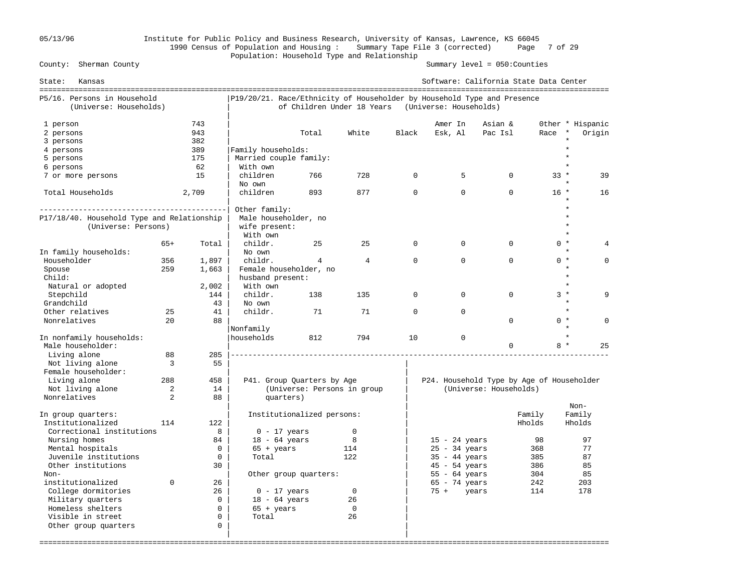# 05/13/96 Institute for Public Policy and Business Research, University of Kansas, Lawrence, KS 66045 1990 Census of Population and Housing : Summary Tape File 3 (corrected) Page 7 of 29 Population: Household Type and Relationship<br>County: Sherman County

Summary level =  $050$ : Counties

| State:<br>Kansas                           |          |             |                                                                         |                             |                |             | Software: California State Data Center    |                        |        |                  |
|--------------------------------------------|----------|-------------|-------------------------------------------------------------------------|-----------------------------|----------------|-------------|-------------------------------------------|------------------------|--------|------------------|
| P5/16. Persons in Household                |          |             | P19/20/21. Race/Ethnicity of Householder by Household Type and Presence |                             |                |             |                                           |                        |        |                  |
| (Universe: Households)                     |          |             |                                                                         | of Children Under 18 Years  |                |             | (Universe: Households)                    |                        |        |                  |
| 1 person                                   |          | 743         |                                                                         |                             |                |             | Amer In                                   | Asian &                |        | Other * Hispanic |
| 2 persons                                  |          | 943         |                                                                         | Total                       | White          | Black       | Esk, Al                                   | Pac Isl                | Race   | Origin           |
| 3 persons                                  |          | 382         |                                                                         |                             |                |             |                                           |                        |        |                  |
| 4 persons                                  |          | 389         | Family households:                                                      |                             |                |             |                                           |                        |        |                  |
| 5 persons                                  |          | 175         | Married couple family:                                                  |                             |                |             |                                           |                        |        |                  |
| 6 persons                                  |          | 62          | With own                                                                |                             |                |             |                                           |                        |        |                  |
| 7 or more persons                          |          | 15          | children                                                                | 766                         | 728            | $\Omega$    | 5                                         | $\Omega$               | $33 *$ | 39               |
|                                            |          |             | No own                                                                  |                             |                |             |                                           |                        |        |                  |
| Total Households                           |          | 2,709       | children                                                                | 893                         | 877            | $\mathbf 0$ | $\Omega$                                  | $\Omega$               | $16 *$ | 16               |
|                                            |          |             |                                                                         |                             |                |             |                                           |                        |        |                  |
|                                            |          |             | Other family:                                                           |                             |                |             |                                           |                        |        |                  |
| P17/18/40. Household Type and Relationship |          |             | Male householder, no                                                    |                             |                |             |                                           |                        |        |                  |
| (Universe: Persons)                        |          |             | wife present:                                                           |                             |                |             |                                           |                        |        |                  |
|                                            |          |             | With own                                                                |                             |                |             |                                           |                        |        |                  |
|                                            | $65+$    | Total       | childr.                                                                 | 25                          | 25             | $\Omega$    | $\Omega$                                  | $\Omega$               | $0 *$  |                  |
| In family households:                      |          |             | No own                                                                  |                             |                |             |                                           |                        |        | $\star$          |
| Householder                                | 356      | 1,897       | childr.                                                                 | 4                           | $\overline{4}$ | $\Omega$    | $\Omega$                                  | $\Omega$               | $0 *$  | $\Omega$         |
| Spouse                                     | 259      | 1,663       | Female householder, no                                                  |                             |                |             |                                           |                        |        |                  |
| Child:                                     |          |             | husband present:                                                        |                             |                |             |                                           |                        |        |                  |
| Natural or adopted                         |          | 2,002       | With own                                                                |                             |                |             |                                           |                        |        | $\star$          |
| Stepchild                                  |          | 144         | childr.                                                                 | 138                         | 135            | $\Omega$    | $\Omega$                                  | $\Omega$               | $3 *$  | Q                |
| Grandchild                                 |          | 43          | No own                                                                  |                             |                |             |                                           |                        |        | $\star$          |
| Other relatives                            | 25       | 41          | childr.                                                                 | 71                          | 71             | $\mathbf 0$ | $\Omega$                                  |                        |        | $\star$          |
| Nonrelatives                               | 20       | 88          |                                                                         |                             |                |             |                                           | 0                      | $0 *$  | $\Omega$         |
| In nonfamily households:                   |          |             | Nonfamily<br>households                                                 | 812                         | 794            | 10          | $\mathbf 0$                               |                        |        |                  |
| Male householder:                          |          |             |                                                                         |                             |                |             |                                           | 0                      | $8*$   | 25               |
| Living alone                               | 88       | 285         |                                                                         |                             |                |             |                                           |                        |        |                  |
| Not living alone                           | 3        | 55          |                                                                         |                             |                |             |                                           |                        |        |                  |
| Female householder:                        |          |             |                                                                         |                             |                |             |                                           |                        |        |                  |
| Living alone                               | 288      | 458         |                                                                         | P41. Group Quarters by Age  |                |             | P24. Household Type by Age of Householder |                        |        |                  |
| Not living alone                           | 2        | 14          |                                                                         | (Universe: Persons in group |                |             |                                           | (Universe: Households) |        |                  |
| Nonrelatives                               | 2        | 88          | quarters)                                                               |                             |                |             |                                           |                        |        |                  |
|                                            |          |             |                                                                         |                             |                |             |                                           |                        |        | Non-             |
| In group quarters:                         |          |             |                                                                         | Institutionalized persons:  |                |             |                                           |                        | Family | Family           |
| Institutionalized                          | 114      | 122         |                                                                         |                             |                |             |                                           |                        | Hholds | Hholds           |
| Correctional institutions                  |          | 8           | $0 - 17$ years                                                          |                             | $\mathbf 0$    |             |                                           |                        |        |                  |
| Nursing homes                              |          | 84          | $18 - 64$ years                                                         |                             | 8              |             | $15 - 24$ years                           |                        | 98     | 97               |
| Mental hospitals                           |          | $\Omega$    | $65 + \text{years}$                                                     |                             | 114            |             | $25 - 34$ years                           |                        | 368    | 77               |
| Juvenile institutions                      |          | $\mathbf 0$ | Total                                                                   |                             | 122            |             | $35 - 44$ years                           |                        | 385    | 87               |
| Other institutions                         |          | 30          |                                                                         |                             |                |             | $45 - 54$ years                           |                        | 386    | 85               |
| Non-                                       |          |             |                                                                         | Other group quarters:       |                |             | $55 - 64$ years                           |                        | 304    | 85               |
| institutionalized                          | $\Omega$ | 26          |                                                                         |                             |                |             | $65 - 74$ years                           |                        | 242    | 203              |
| College dormitories                        |          | 26          | $0 - 17$ years                                                          |                             | $\mathbf 0$    |             | $75 +$<br>years                           |                        | 114    | 178              |
| Military quarters                          |          | $\mathbf 0$ | $18 - 64$ years                                                         |                             | 26             |             |                                           |                        |        |                  |
| Homeless shelters                          |          | $\Omega$    | $65 + \text{years}$                                                     |                             | $\mathbf 0$    |             |                                           |                        |        |                  |
| Visible in street                          |          | $\Omega$    | Total                                                                   |                             | 26             |             |                                           |                        |        |                  |
| Other group quarters                       |          | $\mathbf 0$ |                                                                         |                             |                |             |                                           |                        |        |                  |
|                                            |          |             |                                                                         |                             |                |             |                                           |                        |        |                  |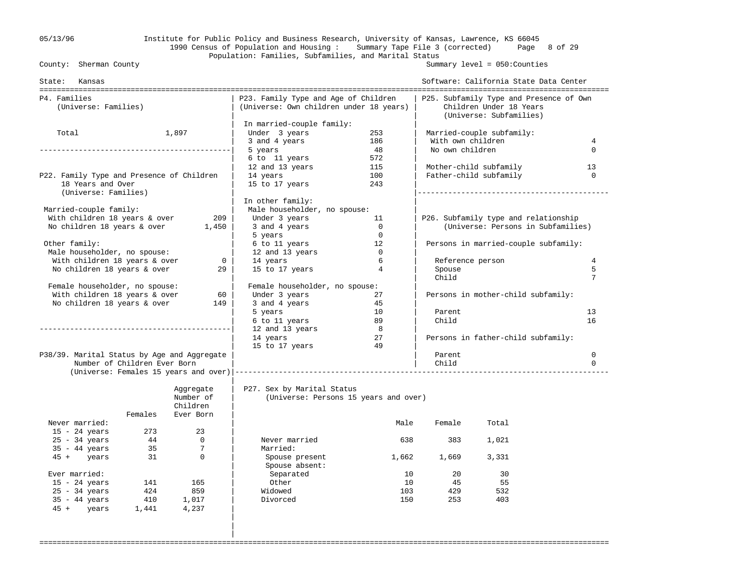### 05/13/96 Institute for Public Policy and Business Research, University of Kansas, Lawrence, KS 66045 1990 Census of Population and Housing : Summary Tape File 3 (corrected) Page 8 of 29 Population: Families, Subfamilies, and Marital Status<br>County: Sherman County

|

Summary level =  $050$ : Counties

| State: Kansas                               |         |                |                                                                                 |                |                   | Software: California State Data Center                                                        |                         |
|---------------------------------------------|---------|----------------|---------------------------------------------------------------------------------|----------------|-------------------|-----------------------------------------------------------------------------------------------|-------------------------|
| P4. Families<br>(Universe: Families)        |         |                | P23. Family Type and Age of Children<br>(Universe: Own children under 18 years) |                |                   | P25. Subfamily Type and Presence of Own<br>Children Under 18 Years<br>(Universe: Subfamilies) |                         |
|                                             |         |                | In married-couple family:                                                       |                |                   |                                                                                               |                         |
| Total                                       |         | 1,897          | Under 3 years                                                                   | 253            |                   | Married-couple subfamily:                                                                     |                         |
|                                             |         |                | 3 and 4 years                                                                   | 186            | With own children |                                                                                               | 4                       |
|                                             |         |                | 5 years                                                                         | 48             | No own children   |                                                                                               | $\Omega$                |
|                                             |         |                | 6 to 11 years                                                                   | 572            |                   |                                                                                               |                         |
|                                             |         |                | 12 and 13 years                                                                 | 115            |                   | Mother-child subfamily                                                                        | 13                      |
| P22. Family Type and Presence of Children   |         |                | 14 years                                                                        | 100            |                   | Father-child subfamily                                                                        | $\Omega$                |
| 18 Years and Over<br>(Universe: Families)   |         |                | 15 to 17 years                                                                  | 243            |                   |                                                                                               |                         |
|                                             |         |                | In other family:                                                                |                |                   |                                                                                               |                         |
| Married-couple family:                      |         |                | Male householder, no spouse:                                                    |                |                   |                                                                                               |                         |
| With children 18 years & over               |         | 209            | Under 3 years                                                                   | -11            |                   | P26. Subfamily type and relationship                                                          |                         |
| No children 18 years & over                 |         | 1,450          | 3 and 4 years                                                                   | $\overline{0}$ |                   | (Universe: Persons in Subfamilies)                                                            |                         |
|                                             |         |                | 5 years                                                                         | $\overline{0}$ |                   |                                                                                               |                         |
| Other family:                               |         |                | 6 to 11 years                                                                   | 12             |                   | Persons in married-couple subfamily:                                                          |                         |
| Male householder, no spouse:                |         |                | 12 and 13 years                                                                 | $\overline{0}$ |                   |                                                                                               |                         |
| With children 18 years & over               |         | $\mathbf{0}$   | 14 years                                                                        | 6              | Reference person  |                                                                                               | 4                       |
| No children 18 years & over                 |         | 29             | 15 to 17 years                                                                  | $\overline{4}$ | Spouse<br>Child   |                                                                                               | 5<br>7                  |
| Female householder, no spouse:              |         |                | Female householder, no spouse:                                                  |                |                   |                                                                                               |                         |
| With children 18 years & over               |         | 60             | Under 3 years                                                                   | 27             |                   | Persons in mother-child subfamily:                                                            |                         |
| No children 18 years & over                 |         | 149            | 3 and 4 years                                                                   | 45             |                   |                                                                                               |                         |
|                                             |         |                | 5 years                                                                         | 10             | Parent            |                                                                                               | 13                      |
|                                             |         |                | 6 to 11 years                                                                   | 89             | Child             |                                                                                               | 16                      |
|                                             |         |                | 12 and 13 years                                                                 | $_{\rm 8}$     |                   |                                                                                               |                         |
|                                             |         |                | 14 years                                                                        | 27             |                   | Persons in father-child subfamily:                                                            |                         |
|                                             |         |                | 15 to 17 years                                                                  | 49             |                   |                                                                                               |                         |
| P38/39. Marital Status by Age and Aggregate |         |                |                                                                                 |                | Parent            |                                                                                               | $\mathbf 0$<br>$\Omega$ |
| Number of Children Ever Born                |         |                | (Universe: Females 15 years and over)  ----------------------------------       |                | Child             |                                                                                               |                         |
|                                             |         | Aggregate      | P27. Sex by Marital Status                                                      |                |                   |                                                                                               |                         |
|                                             |         | Number of      | (Universe: Persons 15 years and over)                                           |                |                   |                                                                                               |                         |
|                                             |         | Children       |                                                                                 |                |                   |                                                                                               |                         |
|                                             | Females | Ever Born      |                                                                                 |                |                   |                                                                                               |                         |
| Never married:                              |         |                |                                                                                 | Male           | Female            | Total                                                                                         |                         |
| $15 - 24$ years                             | 273     | 23             |                                                                                 |                |                   |                                                                                               |                         |
| $25 - 34$ years                             | 44      | $\overline{0}$ | Never married                                                                   | 638            | 383               | 1,021                                                                                         |                         |
| $35 - 44$ years                             | 35      | 7              | Married:                                                                        |                |                   |                                                                                               |                         |
| $45 + \text{years}$                         | 31      | $\Omega$       | Spouse present                                                                  | 1,662          | 1,669             | 3,331                                                                                         |                         |
|                                             |         |                | Spouse absent:                                                                  |                |                   |                                                                                               |                         |
| Ever married:                               |         |                | Separated                                                                       | 10             | 20                | 30                                                                                            |                         |
| $15 - 24$ years                             | 141     | 165            | Other                                                                           | 10             | 45                | 55                                                                                            |                         |
| $25 - 34$ years                             | 424     | 859            | Widowed                                                                         | 103            | 429               | 532                                                                                           |                         |
| $35 - 44$ years                             |         | 410 1,017      | Divorced                                                                        | 150            | 253               | 403                                                                                           |                         |
| 45 + years                                  | 1,441   | 4,237          |                                                                                 |                |                   |                                                                                               |                         |
|                                             |         |                |                                                                                 |                |                   |                                                                                               |                         |
|                                             |         |                |                                                                                 |                |                   |                                                                                               |                         |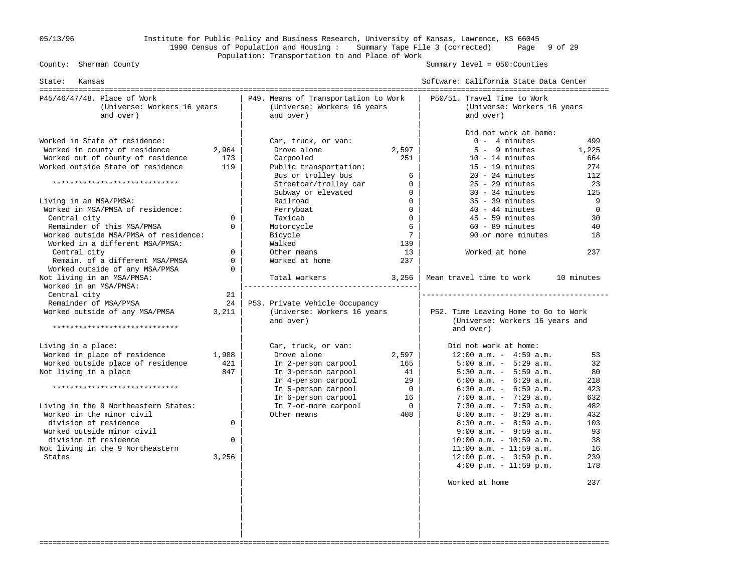### 05/13/96 Institute for Public Policy and Business Research, University of Kansas, Lawrence, KS 66045 1990 Census of Population and Housing : Summary Tape File 3 (corrected) Page 9 of 29 Population: Transportation to and Place of Work

Summary level =  $050$ : Counties

| State:<br>Kansas                                                        |             |                                                                                  |                 | Software: California State Data Center                                  |            |
|-------------------------------------------------------------------------|-------------|----------------------------------------------------------------------------------|-----------------|-------------------------------------------------------------------------|------------|
| P45/46/47/48. Place of Work<br>(Universe: Workers 16 years<br>and over) |             | P49. Means of Transportation to Work<br>(Universe: Workers 16 years<br>and over) |                 | P50/51. Travel Time to Work<br>(Universe: Workers 16 years<br>and over) |            |
|                                                                         |             |                                                                                  |                 | Did not work at home:                                                   |            |
| Worked in State of residence:                                           |             | Car, truck, or van:                                                              |                 | $0 - 4$ minutes                                                         | 499        |
| Worked in county of residence                                           | 2,964       | Drove alone                                                                      | 2,597           | $5 - 9$ minutes                                                         | 1,225      |
| Worked out of county of residence                                       | 173         | Carpooled                                                                        | 251             | $10 - 14$ minutes                                                       | 664        |
| Worked outside State of residence                                       | 119         | Public transportation:                                                           |                 | $15 - 19$ minutes                                                       | 274        |
|                                                                         |             | Bus or trolley bus                                                               | 6               | $20 - 24$ minutes                                                       | 112        |
| *****************************                                           |             | Streetcar/trolley car                                                            | $\overline{0}$  | $25 - 29$ minutes                                                       | 23         |
|                                                                         |             | Subway or elevated                                                               | $\overline{0}$  | $30 - 34$ minutes                                                       | 125        |
| Living in an MSA/PMSA:                                                  |             | Railroad                                                                         | $\Omega$        | $35 - 39$ minutes                                                       | 9          |
| Worked in MSA/PMSA of residence:                                        |             | Ferryboat                                                                        | $\Omega$        | $40 - 44$ minutes                                                       | $\Omega$   |
| Central city                                                            | 0           | Taxicab                                                                          | $\overline{0}$  | $45 - 59$ minutes                                                       | 30         |
| Remainder of this MSA/PMSA                                              | $\Omega$    | Motorcycle                                                                       | 6               | $60 - 89$ minutes                                                       | 40         |
| Worked outside MSA/PMSA of residence:                                   |             | Bicycle                                                                          | $7\overline{ }$ | 90 or more minutes                                                      | 18         |
| Worked in a different MSA/PMSA:                                         |             | Walked                                                                           | 139             |                                                                         |            |
| Central city                                                            | $\Omega$    | Other means                                                                      | 13              | Worked at home                                                          | 237        |
| Remain. of a different MSA/PMSA                                         | $\mathbf 0$ | Worked at home                                                                   | 237             |                                                                         |            |
| Worked outside of any MSA/PMSA                                          | $\Omega$    |                                                                                  |                 |                                                                         |            |
| Not living in an MSA/PMSA:                                              |             | Total workers                                                                    | 3,256           | Mean travel time to work                                                | 10 minutes |
| Worked in an MSA/PMSA:                                                  |             |                                                                                  |                 |                                                                         |            |
| Central city                                                            | 21          |                                                                                  |                 |                                                                         |            |
| Remainder of MSA/PMSA                                                   | 24          | P53. Private Vehicle Occupancy                                                   |                 |                                                                         |            |
| Worked outside of any MSA/PMSA                                          | 3,211       | (Universe: Workers 16 years                                                      |                 | P52. Time Leaving Home to Go to Work                                    |            |
| *****************************                                           |             | and over)                                                                        |                 | (Universe: Workers 16 years and                                         |            |
|                                                                         |             |                                                                                  |                 | and over)                                                               |            |
| Living in a place:                                                      |             | Car, truck, or van:                                                              |                 | Did not work at home:                                                   |            |
| Worked in place of residence                                            | 1,988       | Drove alone                                                                      | 2,597           | $12:00$ a.m. - $4:59$ a.m.                                              | 53         |
| Worked outside place of residence                                       | 421         | In 2-person carpool                                                              | 165             | $5:00$ a.m. - $5:29$ a.m.                                               | 32         |
| Not living in a place                                                   | 847         | In 3-person carpool                                                              | 41              | $5:30$ a.m. - $5:59$ a.m.                                               | 80         |
|                                                                         |             | In 4-person carpool                                                              | 29              | $6:00$ a.m. - $6:29$ a.m.                                               | 218        |
| *****************************                                           |             | In 5-person carpool                                                              | $\overline{0}$  | $6:30$ a.m. - $6:59$ a.m.                                               | 423        |
|                                                                         |             | In 6-person carpool                                                              | 16              | $7:00$ a.m. - $7:29$ a.m.                                               | 632        |
| Living in the 9 Northeastern States:                                    |             | In 7-or-more carpool                                                             | $\overline{0}$  | $7:30$ a.m. - $7:59$ a.m.                                               | 482        |
| Worked in the minor civil                                               |             | Other means                                                                      | 408             | $8:00$ a.m. - $8:29$ a.m.                                               | 432        |
| division of residence                                                   | $\Omega$    |                                                                                  |                 | $8:30$ a.m. - $8:59$ a.m.                                               | 103        |
| Worked outside minor civil                                              |             |                                                                                  |                 | $9:00$ a.m. - $9:59$ a.m.                                               | 93         |
| division of residence                                                   | $\Omega$    |                                                                                  |                 | $10:00$ a.m. - $10:59$ a.m.                                             | 38         |
| Not living in the 9 Northeastern                                        |             |                                                                                  |                 | $11:00$ a.m. - $11:59$ a.m.                                             | 16         |
| States                                                                  | 3,256       |                                                                                  |                 | $12:00 \text{ p.m.} - 3:59 \text{ p.m.}$                                | 239        |
|                                                                         |             |                                                                                  |                 | $4:00 \text{ p.m.} - 11:59 \text{ p.m.}$                                | 178        |
|                                                                         |             |                                                                                  |                 | Worked at home                                                          | 237        |
|                                                                         |             |                                                                                  |                 |                                                                         |            |
|                                                                         |             |                                                                                  |                 |                                                                         |            |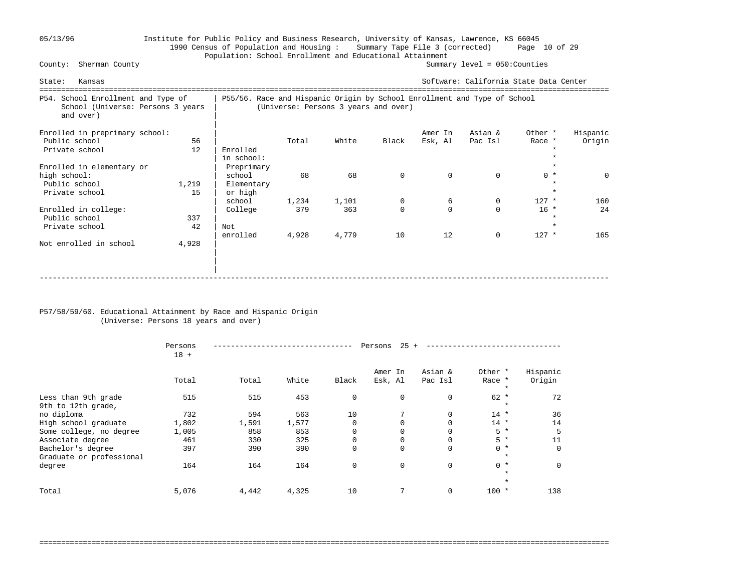# 05/13/96 Institute for Public Policy and Business Research, University of Kansas, Lawrence, KS 66045 1990 Census of Population and Housing : Summary Tape File 3 (corrected) Page 10 of 29 Population: School Enrollment and Educational Attainment<br>County: Sherman County

Summary level =  $050$ : Counties

| Kansas<br>State:                                                                     |             |                                                                          |              |                                      |                     |                     | Software: California State Data Center |                              |                    |
|--------------------------------------------------------------------------------------|-------------|--------------------------------------------------------------------------|--------------|--------------------------------------|---------------------|---------------------|----------------------------------------|------------------------------|--------------------|
| P54. School Enrollment and Type of<br>School (Universe: Persons 3 years<br>and over) |             | P55/56. Race and Hispanic Origin by School Enrollment and Type of School |              | (Universe: Persons 3 years and over) |                     |                     |                                        |                              |                    |
| Enrolled in preprimary school:<br>Public school<br>Private school                    | 56<br>12    | Enrolled<br>in school:                                                   | Total        | White                                | Black               | Amer In<br>Esk, Al  | Asian &<br>Pac Isl                     | Other *<br>Race *            | Hispanic<br>Origin |
| Enrolled in elementary or<br>high school:<br>Public school<br>Private school         | 1,219<br>15 | Preprimary<br>school<br>Elementary<br>or high                            | 68           | 68                                   | $\mathbf 0$         | $\Omega$            | $\Omega$                               | $0 *$<br>$\star$             | $\Omega$           |
| Enrolled in college:<br>Public school<br>Private school                              | 337<br>42   | school<br>College<br>Not                                                 | 1,234<br>379 | 1,101<br>363                         | 0<br>$\Omega$<br>10 | 6<br>$\Omega$<br>12 | 0<br>$\Omega$<br>$\mathbf 0$           | $127$ *<br>$16 *$<br>$\star$ | 160<br>24<br>165   |
| Not enrolled in school                                                               | 4,928       | enrolled                                                                 | 4,928        | 4,779                                |                     |                     |                                        | $127$ *                      |                    |

### P57/58/59/60. Educational Attainment by Race and Hispanic Origin (Universe: Persons 18 years and over)

|                                               | Persons<br>$18 +$ |       |       |             | 25<br>Persons      |                    |                              |                    |  |
|-----------------------------------------------|-------------------|-------|-------|-------------|--------------------|--------------------|------------------------------|--------------------|--|
|                                               | Total             | Total | White | Black       | Amer In<br>Esk, Al | Asian &<br>Pac Isl | Other *<br>Race *<br>$\star$ | Hispanic<br>Origin |  |
| Less than 9th grade<br>9th to 12th grade,     | 515               | 515   | 453   | $\mathbf 0$ | $\mathbf 0$        | $\mathbf 0$        | $62 *$<br>$\star$            | 72                 |  |
| no diploma                                    | 732               | 594   | 563   | 10          | 7                  | $\Omega$           | $14$ *                       | 36                 |  |
| High school graduate                          | 1,802             | 1,591 | 1,577 | $\Omega$    | $\Omega$           | $\Omega$           | $14 *$                       | 14                 |  |
| Some college, no degree                       | 1,005             | 858   | 853   | $\mathbf 0$ |                    | $\Omega$           | $5*$                         | 5                  |  |
| Associate degree                              | 461               | 330   | 325   | $\mathbf 0$ | 0                  | 0                  | $5*$                         | 11                 |  |
| Bachelor's degree<br>Graduate or professional | 397               | 390   | 390   | $\mathbf 0$ | $\Omega$           | $\Omega$           | $0 *$<br>$\star$             | $\Omega$           |  |
| degree                                        | 164               | 164   | 164   | $\mathbf 0$ | $\mathbf 0$        | $\mathbf 0$        | $0 *$<br>$\star$             | $\Omega$           |  |
|                                               |                   |       |       |             |                    |                    | $\star$                      |                    |  |
| Total                                         | 5,076             | 4,442 | 4,325 | 10          | 7                  | $\mathbf 0$        | $100 *$                      | 138                |  |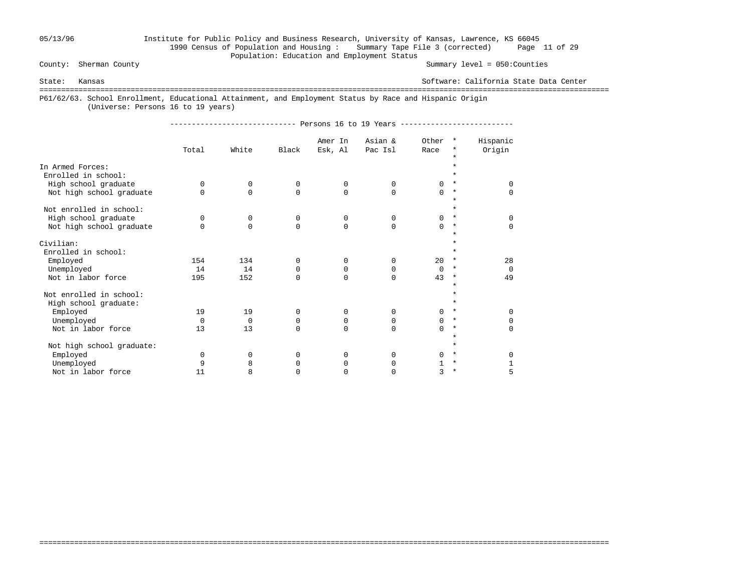# 05/13/96 Institute for Public Policy and Business Research, University of Kansas, Lawrence, KS 66045 1990 Census of Population and Housing : Summary Tape File 3 (corrected) Page 11 of 29 Population: Education and Employment Status<br>County: Sherman County

Summary level =  $050$ : Counties

State: Kansas Software: California State Data Center

===================================================================================================================================

===================================================================================================================================

P61/62/63. School Enrollment, Educational Attainment, and Employment Status by Race and Hispanic Origin

(Universe: Persons 16 to 19 years)

| _________________________________ | $\cdots$<br> |  | $\cdots$ | - |  | --------------------------- |
|-----------------------------------|--------------|--|----------|---|--|-----------------------------|
|-----------------------------------|--------------|--|----------|---|--|-----------------------------|

|                                         | Total    | White       | Black       | Amer In<br>Esk, Al | Asian &<br>Pac Isl | Other<br>Race | $\star$<br>*<br>$\star$ | Hispanic<br>Origin |
|-----------------------------------------|----------|-------------|-------------|--------------------|--------------------|---------------|-------------------------|--------------------|
| In Armed Forces:<br>Enrolled in school: |          |             |             |                    |                    |               |                         |                    |
| High school graduate                    | $\Omega$ | 0           | $\Omega$    | $\Omega$           | $\Omega$           | $\cap$        | $\star$                 | $\cap$             |
| Not high school graduate                | $\Omega$ | $\Omega$    | 0           | $\Omega$           | $\Omega$           | $\Omega$      | $\star$<br>$\star$      | $\Omega$           |
| Not enrolled in school:                 |          |             |             |                    |                    |               |                         |                    |
| High school graduate                    | $\Omega$ | 0           | $\mathbf 0$ | 0                  | $\Omega$           | $\Omega$      | $\star$                 | $\Omega$           |
| Not high school graduate                | $\Omega$ | $\Omega$    | $\Omega$    | $\Omega$           | $\Omega$           | $\Omega$      | $\star$<br>$\star$      | $\Omega$           |
| Civilian:                               |          |             |             |                    |                    |               |                         |                    |
| Enrolled in school:                     |          |             |             |                    |                    |               | $\star$                 |                    |
| Employed                                | 154      | 134         | $\Omega$    | 0                  | $\Omega$           | 20            | $\star$                 | 28                 |
| Unemployed                              | 14       | 14          | $\Omega$    | 0                  | $\Omega$           | $\Omega$      | $\star$                 | $\Omega$           |
| Not in labor force                      | 195      | 152         | $\Omega$    | $\Omega$           | $\Omega$           | 43            | $\star$                 | 49                 |
| Not enrolled in school:                 |          |             |             |                    |                    |               |                         |                    |
| High school graduate:                   |          |             |             |                    |                    |               | $\star$                 |                    |
| Employed                                | 19       | 19          | $\Omega$    | 0                  | 0                  | $\Omega$      | $^\ast$                 | $\Omega$           |
| Unemployed                              | $\Omega$ | $\mathbf 0$ | 0           | 0                  | $\Omega$           | $\Omega$      | $\star$                 | 0                  |
| Not in labor force                      | 13       | 13          | $\Omega$    | $\Omega$           | $\Omega$           | $\cap$        | $\star$                 | $\Omega$           |
| Not high school graduate:               |          |             |             |                    |                    |               | $\star$<br>$\star$      |                    |
| Employed                                | $\Omega$ | $\Omega$    | $\Omega$    | $\Omega$           | 0                  | $\cap$        | $\star$                 | $\cap$             |
| Unemployed                              | 9        | 8           | 0           | 0                  | 0                  |               | $^\star$                |                    |
| Not in labor force                      | 11       | 8           | $\Omega$    | $\Omega$           |                    | 3             | $^\star$                | 5                  |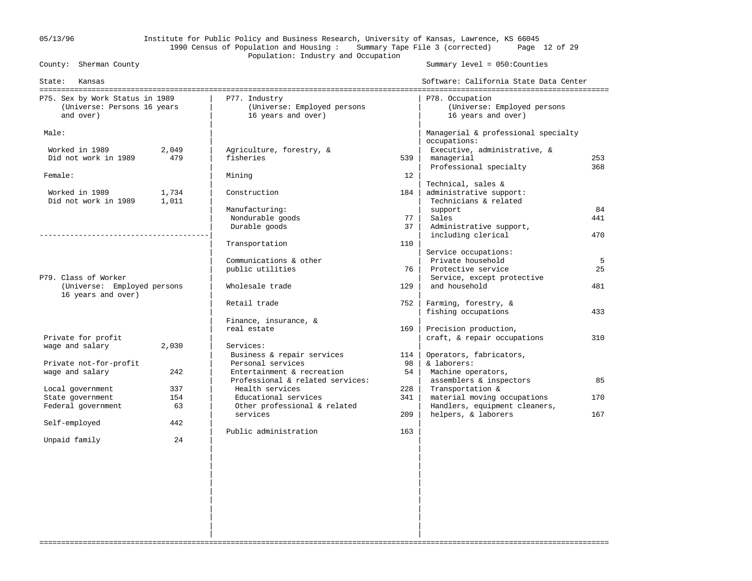# 05/13/96 Institute for Public Policy and Business Research, University of Kansas, Lawrence, KS 66045 1990 Census of Population and Housing : Summary Tape File 3 (corrected) Page 12 of 29 Population: Industry and Occupation<br>County: Sherman County

Summary level =  $050$ : Counties

| State:<br>Kansas                                                            |                |                                                                    |            | Software: California State Data Center                                              |            |
|-----------------------------------------------------------------------------|----------------|--------------------------------------------------------------------|------------|-------------------------------------------------------------------------------------|------------|
| P75. Sex by Work Status in 1989<br>(Universe: Persons 16 years<br>and over) |                | P77. Industry<br>(Universe: Employed persons<br>16 years and over) |            | P78. Occupation<br>(Universe: Employed persons<br>16 years and over)                |            |
| Male:                                                                       |                |                                                                    |            | Managerial & professional specialty<br>occupations:                                 |            |
| Worked in 1989<br>Did not work in 1989                                      | 2,049<br>479   | Agriculture, forestry, &<br>fisheries                              | 539        | Executive, administrative, &<br>managerial                                          | 253        |
| Female:                                                                     |                | Mining                                                             | 12         | Professional specialty                                                              | 368        |
| Worked in 1989<br>Did not work in 1989                                      | 1,734<br>1,011 | Construction                                                       | 184        | Technical, sales &<br>administrative support:<br>Technicians & related              |            |
|                                                                             |                | Manufacturing:<br>Nondurable goods                                 | 77         | support<br>Sales                                                                    | 84<br>441  |
|                                                                             |                | Durable goods<br>Transportation                                    | 37<br>110  | Administrative support,<br>including clerical                                       | 470        |
|                                                                             |                | Communications & other                                             |            | Service occupations:<br>Private household                                           | 5          |
| P79. Class of Worker                                                        |                | public utilities                                                   | 76         | Protective service<br>Service, except protective                                    | 25         |
| (Universe: Employed persons<br>16 years and over)                           |                | Wholesale trade                                                    | 129        | and household                                                                       | 481        |
|                                                                             |                | Retail trade<br>Finance, insurance, &                              | 752        | Farming, forestry, &<br>fishing occupations                                         | 433        |
| Private for profit                                                          |                | real estate                                                        | 169        | Precision production,<br>craft, & repair occupations                                | 310        |
| wage and salary                                                             | 2,030          | Services:<br>Business & repair services                            | 114        | Operators, fabricators,                                                             |            |
| Private not-for-profit<br>wage and salary                                   | 242            | Personal services<br>Entertainment & recreation                    | 98<br>54   | & laborers:<br>Machine operators,                                                   |            |
| Local government                                                            | 337            | Professional & related services:<br>Health services                | 228        | assemblers & inspectors<br>Transportation &                                         | 85         |
| State government<br>Federal government                                      | 154<br>63      | Educational services<br>Other professional & related<br>services   | 341<br>209 | material moving occupations<br>Handlers, equipment cleaners,<br>helpers, & laborers | 170<br>167 |
| Self-employed                                                               | 442            | Public administration                                              | 163        |                                                                                     |            |
| Unpaid family                                                               | 24             |                                                                    |            |                                                                                     |            |
|                                                                             |                |                                                                    |            |                                                                                     |            |
|                                                                             |                |                                                                    |            |                                                                                     |            |
|                                                                             |                |                                                                    |            |                                                                                     |            |

===================================================================================================================================

 | | | | | |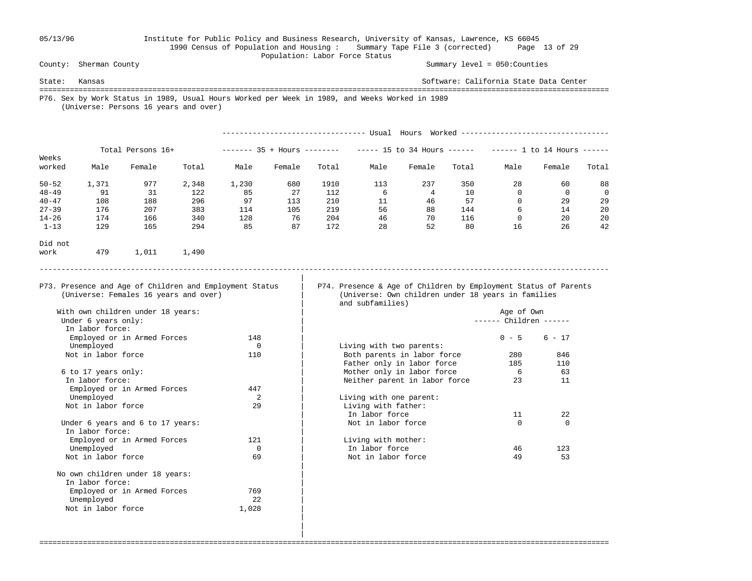### 05/13/96 Institute for Public Policy and Business Research, University of Kansas, Lawrence, KS 66045 1990 Census of Population and Housing : Summary Tape File 3 (corrected) Page 13 of 29 Population: Labor Force Status

Summary level =  $050$ : Counties

State: Kansas Software: California State Data Center =================================================================================================================================== P76. Sex by Work Status in 1989, Usual Hours Worked per Week in 1989, and Weeks Worked in 1989 (Universe: Persons 16 years and over)

|           |                   |        |       |       |                        |       | Usual | Hours                      | Worked |               |             |       |  |
|-----------|-------------------|--------|-------|-------|------------------------|-------|-------|----------------------------|--------|---------------|-------------|-------|--|
| Weeks     | Total Persons 16+ |        |       |       | $----- 35 + Hours ---$ |       |       | $--- 15$ to 34 Hours $---$ |        | 1 to 14 Hours |             |       |  |
| worked    | Male              | Female | Total | Male  | Female                 | Total | Male  | Female                     | Total  | Male          | Female      | Total |  |
| $50 - 52$ | 1,371             | 977    | 2,348 | 1,230 | 680                    | 1910  | 113   | 237                        | 350    | 28            | 60          | 88    |  |
| $48 - 49$ | 91                | 31     | 122   | 85    | 27                     | 112   | 6     | 4                          | 10     | 0             | $\mathbf 0$ | 0     |  |
| $40 - 47$ | 108               | 188    | 296   | 97    | 113                    | 210   | 11    | 46                         | 57     | 0             | 29          | 29    |  |
| $27 - 39$ | 176               | 207    | 383   | 114   | 105                    | 219   | 56    | 88                         | 144    | 6             | 14          | 20    |  |
| $14 - 26$ | 174               | 166    | 340   | 128   | 76                     | 204   | 46    | 70                         | 116    | 0             | 20          | 20    |  |
| $1 - 13$  | 129               | 165    | 294   | 85    | 87                     | 172   | 28    | 52                         | 80     | 16            | 26          | 42    |  |
| Did not   |                   |        |       |       |                        |       |       |                            |        |               |             |       |  |
| work      | 479               | 1,011  | 1,490 |       |                        |       |       |                            |        |               |             |       |  |

-----------------------------------------------------------------------------------------------------------------------------------

===================================================================================================================================

|

P73. Presence and Age of Children and Employment Status | P74. Presence & Age of Children by Employment Status of Parents (Universe: Females 16 years and over) | (Universe: Own children under 18 years in families (Universe: Own children under 18 years in families and subfamilies)

 $------$  Children  $-----$ 

| In labor force:                  |          |                               |          |          |
|----------------------------------|----------|-------------------------------|----------|----------|
| Employed or in Armed Forces      | 148      |                               | $0 - 5$  | $6 - 17$ |
| Unemployed                       | $\Omega$ | Living with two parents:      |          |          |
| Not in labor force               | 110      | Both parents in labor force   | 280      | 846      |
|                                  |          | Father only in labor force    | 185      | 110      |
| 6 to 17 years only:              |          | Mother only in labor force    | 6        | 63       |
| In labor force:                  |          | Neither parent in labor force | 23       | 11       |
| Employed or in Armed Forces      | 447      |                               |          |          |
| Unemployed                       | 2        | Living with one parent:       |          |          |
| Not in labor force               | 29       | Living with father:           |          |          |
|                                  |          | In labor force                | 11       | 22       |
| Under 6 years and 6 to 17 years: |          | Not in labor force            | $\Omega$ | $\Omega$ |
| In labor force:                  |          |                               |          |          |
| Employed or in Armed Forces      | 121      | Living with mother:           |          |          |
| Unemployed                       |          | In labor force                | 46       | 123      |
| Not in labor force               | 69       | Not in labor force            | 49       | 53       |

| With own children under 18 years: |          |                               | Age of Own |  |
|-----------------------------------|----------|-------------------------------|------------|--|
| Under 6 years only:               |          |                               | Children - |  |
| In labor force:                   |          |                               |            |  |
| Employed or in Armed Forces       | 148      |                               | $0 - 5$    |  |
| Unemployed                        | $\Omega$ | Living with two parents:      |            |  |
| Not in labor force                | 110      | Both parents in labor force   | 280        |  |
|                                   |          | Father only in labor force    | 185        |  |
| 6 to 17 years only:               |          | Mother only in labor force    | 6          |  |
| In labor force:                   |          | Neither parent in labor force | 23         |  |
| Employed or in Armed Forces       | 447      |                               |            |  |
| Unemployed                        | 2        | Living with one parent:       |            |  |
| Not in labor force                | 29       | Living with father:           |            |  |
|                                   |          | In labor force                | 11         |  |
| Under 6 years and 6 to 17 years:  |          | Not in labor force            | $\Omega$   |  |
| In labor force:                   |          |                               |            |  |
| Employed or in Armed Forces       | 121      | Living with mother:           |            |  |
| Unemployed                        | 0        | In labor force                | 46         |  |
| Not in labor force                | 69       | Not in labor force            | 49         |  |
| No own children under 18 years:   |          |                               |            |  |
| In labor force:                   |          |                               |            |  |
| Employed or in Armed Forces       | 769      |                               |            |  |
| Unemployed                        | 2.2.     |                               |            |  |
| Not in labor force                | 1,028    |                               |            |  |

 | | |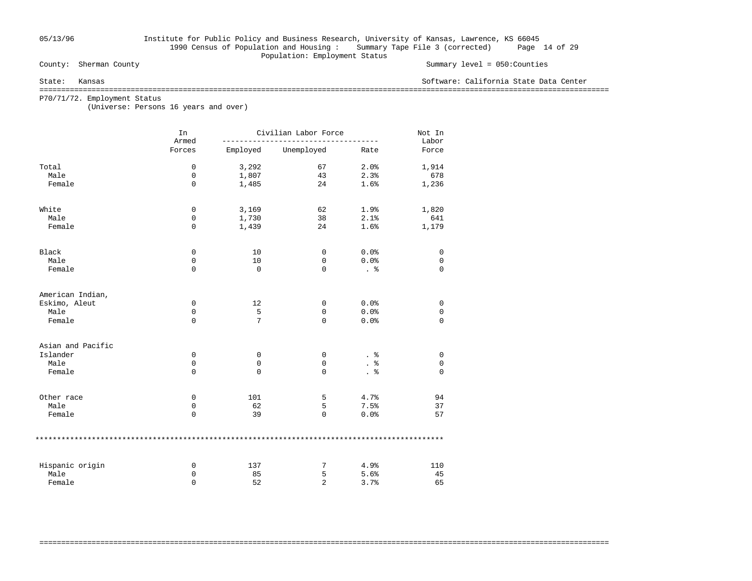# 05/13/96 Institute for Public Policy and Business Research, University of Kansas, Lawrence, KS 66045 1990 Census of Population and Housing : Summary Tape File 3 (corrected) Page 14 of 29 Population: Employment Status<br>
County: Sherman County

### Summary level =  $050$ : Counties

State: Kansas Software: California State Data Center

===================================================================================================================================

===================================================================================================================================

P70/71/72. Employment Status

(Universe: Persons 16 years and over)

|                   | In<br>Armed | Civilian Labor Force |                | Not In<br>Labor |          |
|-------------------|-------------|----------------------|----------------|-----------------|----------|
|                   | Forces      | Employed             | Unemployed     | Rate            | Force    |
| Total             | 0           | 3,292                | 67             | 2.0%            | 1,914    |
| Male              | 0           | 1,807                | 43             | 2.3%            | 678      |
| Female            | $\mathbf 0$ | 1,485                | 24             | 1.6%            | 1,236    |
| White             | $\mathsf 0$ | 3,169                | 62             | 1.9%            | 1,820    |
| Male              | 0           | 1,730                | 38             | 2.1%            | 641      |
| Female            | $\mathbf 0$ | 1,439                | 24             | 1.6%            | 1,179    |
| Black             | 0           | 10                   | 0              | 0.0%            | 0        |
| Male              | 0           | 10                   | 0              | 0.0%            | 0        |
| Female            | $\mathbf 0$ | $\mathbf 0$          | $\Omega$       | . 응             | 0        |
| American Indian,  |             |                      |                |                 |          |
| Eskimo, Aleut     | 0           | 12                   | 0              | 0.0%            | 0        |
| Male              | 0           | 5                    | 0              | 0.0%            | 0        |
| Female            | $\mathbf 0$ | 7                    | $\Omega$       | 0.0%            | $\Omega$ |
| Asian and Pacific |             |                      |                |                 |          |
| Islander          | 0           | 0                    | 0              | . 응             | 0        |
| Male              | $\mathbf 0$ | 0                    | $\mathbf 0$    | . $\frac{6}{6}$ | 0        |
| Female            | $\mathbf 0$ | 0                    | 0              | . 응             | $\Omega$ |
| Other race        | 0           | 101                  | 5              | 4.7%            | 94       |
| Male              | 0           | 62                   | 5              | 7.5%            | 37       |
| Female            | $\mathbf 0$ | 39                   | 0              | 0.0%            | 57       |
|                   |             |                      |                |                 |          |
| Hispanic origin   | 0           | 137                  | 7              | 4.9%            | 110      |
| Male              | 0           | 85                   | 5              | 5.6%            | 45       |
| Female            | $\Omega$    | 52                   | $\overline{2}$ | 3.7%            | 65       |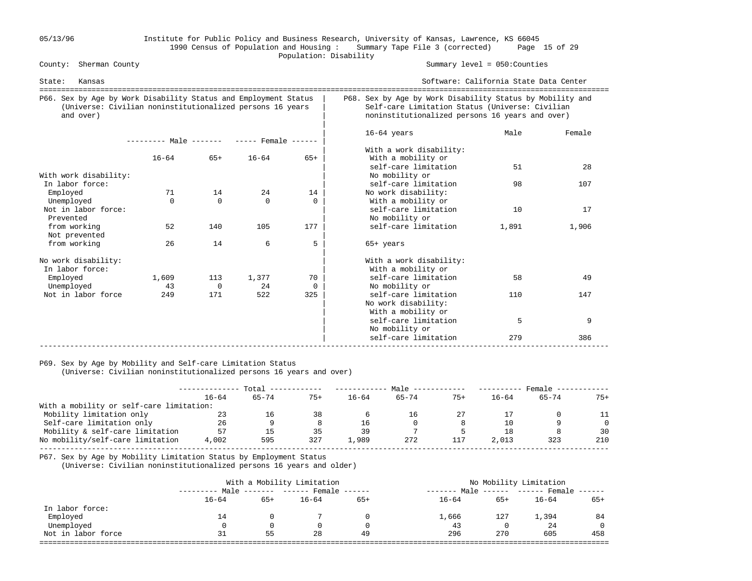### 05/13/96 Institute for Public Policy and Business Research, University of Kansas, Lawrence, KS 66045 1990 Census of Population and Housing : Summary Tape File 3 (corrected) Page 15 of 29 Population: Disability<br>
County: Sherman County

Summary level =  $050$ : Counties

| State:<br>Kansas                                                                                                                          |                                            |                       |                |                |                                                                                                                                                                 | Software: California State Data Center<br>------------------------ |             |  |  |  |
|-------------------------------------------------------------------------------------------------------------------------------------------|--------------------------------------------|-----------------------|----------------|----------------|-----------------------------------------------------------------------------------------------------------------------------------------------------------------|--------------------------------------------------------------------|-------------|--|--|--|
| P66. Sex by Age by Work Disability Status and Employment Status<br>(Universe: Civilian noninstitutionalized persons 16 years<br>and over) |                                            |                       |                |                | P68. Sex by Age by Work Disability Status by Mobility and<br>Self-care Limitation Status (Universe: Civilian<br>noninstitutionalized persons 16 years and over) |                                                                    |             |  |  |  |
|                                                                                                                                           | --------- Male ------- ----- Female ------ |                       |                |                | $16-64$ years                                                                                                                                                   | Male                                                               | Female      |  |  |  |
|                                                                                                                                           | $16 - 64$                                  | $65+$                 | $16 - 64$      | $65+$          | With a work disability:<br>With a mobility or<br>self-care limitation                                                                                           | 51                                                                 | 28          |  |  |  |
| With work disability:<br>In labor force:                                                                                                  |                                            |                       |                |                | No mobility or<br>self-care limitation                                                                                                                          | 98                                                                 | 107         |  |  |  |
| Employed<br>Unemployed                                                                                                                    | 71<br>$\Omega$                             | 14<br>$\Omega$        | 24<br>$\Omega$ | 14<br>$\Omega$ | No work disability:<br>With a mobility or                                                                                                                       |                                                                    |             |  |  |  |
| Not in labor force:<br>Prevented<br>from working                                                                                          | 52                                         | 140                   | 105            | 177            | self-care limitation<br>No mobility or<br>self-care limitation                                                                                                  | 10<br>1,891                                                        | 17<br>1,906 |  |  |  |
| Not prevented<br>from working                                                                                                             | 26                                         | 14                    | 6              | 5              | $65+$ years                                                                                                                                                     |                                                                    |             |  |  |  |
| No work disability:                                                                                                                       |                                            |                       |                |                | With a work disability:                                                                                                                                         |                                                                    |             |  |  |  |
| In labor force:                                                                                                                           |                                            |                       |                |                | With a mobility or                                                                                                                                              |                                                                    |             |  |  |  |
| Employed<br>Unemployed                                                                                                                    | 1,609<br>43                                | 113<br>$\overline{0}$ | 1,377<br>24    | 70<br>$\Omega$ | self-care limitation<br>No mobility or                                                                                                                          | 58                                                                 | 49          |  |  |  |
| Not in labor force                                                                                                                        | 249                                        | 171                   | 522            | 325            | self-care limitation<br>No work disability:<br>With a mobility or                                                                                               | 110                                                                | 147         |  |  |  |
|                                                                                                                                           |                                            |                       |                |                | self-care limitation<br>No mobility or                                                                                                                          | 5                                                                  | 9           |  |  |  |
|                                                                                                                                           |                                            |                       |                |                | self-care limitation                                                                                                                                            | 279                                                                | 386         |  |  |  |

### P69. Sex by Age by Mobility and Self-care Limitation Status

(Universe: Civilian noninstitutionalized persons 16 years and over)

|                                          | Total     |           |       |           | Male      |       | Female    |       |          |
|------------------------------------------|-----------|-----------|-------|-----------|-----------|-------|-----------|-------|----------|
|                                          | $16 - 64$ | $65 - 74$ | $75+$ | $16 - 64$ | $65 - 74$ | $75+$ | $16 - 64$ | 65-74 | $75+$    |
| With a mobility or self-care limitation: |           |           |       |           |           |       |           |       |          |
| Mobility limitation only                 | 23        | 16        | 38    |           | L6.       | 27    |           |       |          |
| Self-care limitation only                | 26        |           |       | 16        | $\Omega$  |       | 10        |       | $\Omega$ |
| Mobility & self-care limitation          | 57        | 15        | 35    | 39        |           |       | 18        |       | 30       |
| No mobility/self-care limitation         | 4,002     | 595       | 327   | 1,989     | 272       | 117   | 2,013     | 323   | 210      |
|                                          |           |           |       |           |           |       |           |       |          |

P67. Sex by Age by Mobility Limitation Status by Employment Status

(Universe: Civilian noninstitutionalized persons 16 years and older)

|           |       |           | No Mobility Limitation |                                                                 |       |           |                             |  |
|-----------|-------|-----------|------------------------|-----------------------------------------------------------------|-------|-----------|-----------------------------|--|
|           |       |           |                        | --------                                                        |       |           |                             |  |
| $16 - 64$ | $65+$ | $16 - 64$ | $65+$                  | $16 - 64$                                                       | $65+$ | $16 - 64$ | 65+                         |  |
|           |       |           |                        |                                                                 |       |           |                             |  |
| 14        |       |           |                        | 1,666                                                           | 127   | 1,394     | 84                          |  |
|           |       |           |                        | 43                                                              |       | 24        |                             |  |
| 31        | 55    | 28        | 49                     | 296                                                             | 270   | 605       | 458                         |  |
|           |       |           |                        | With a Mobility Limitation<br>Male ------- ------ Female ------ |       | Male      | $----- - ---$ Female $----$ |  |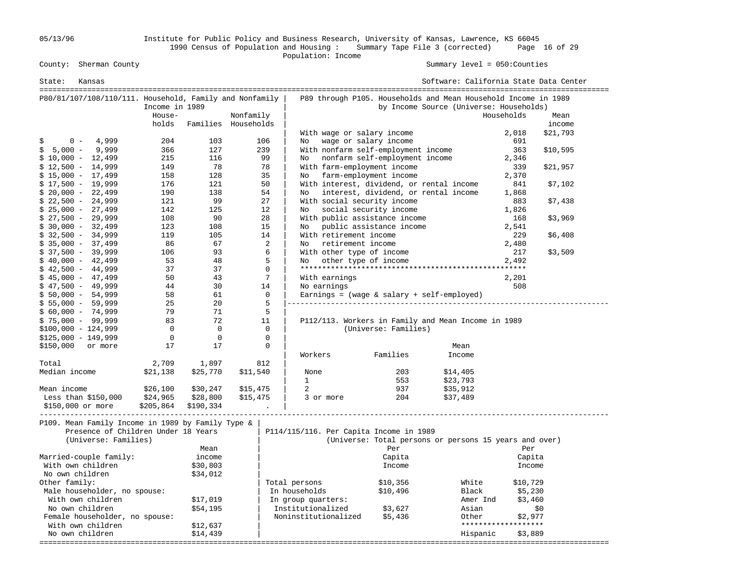05/13/96 Institute for Public Policy and Business Research, University of Kansas, Lawrence, KS 66045 1990 Census of Population and Housing : Summary Tape File 3 (corrected) Page 16 of 29 County: Sherman County<br>
Population: Income<br>
Population: Income

Summary level =  $050$ : Counties

| State:<br>Kansas                                        |                                                             |                |                      |           |                |                                         |                                              | Software: California State Data Center                         |                                |          |
|---------------------------------------------------------|-------------------------------------------------------------|----------------|----------------------|-----------|----------------|-----------------------------------------|----------------------------------------------|----------------------------------------------------------------|--------------------------------|----------|
| P80/81/107/108/110/111. Household, Family and Nonfamily |                                                             |                |                      |           |                |                                         |                                              | P89 through P105. Households and Mean Household Income in 1989 |                                |          |
|                                                         |                                                             | Income in 1989 |                      |           |                |                                         |                                              | by Income Source (Universe: Households)                        |                                |          |
|                                                         |                                                             | House-         |                      | Nonfamily |                |                                         |                                              |                                                                | Households                     | Mean     |
|                                                         |                                                             | holds          | Families Households  |           |                |                                         |                                              |                                                                |                                | income   |
|                                                         |                                                             |                |                      |           |                | With wage or salary income              |                                              |                                                                | 2,018                          | \$21,793 |
| \$<br>$0 -$                                             | 4,999                                                       | 204            | 103                  |           | 106            | No                                      | wage or salary income                        |                                                                | 691                            |          |
| $5,000 -$<br>\$                                         | 9,999                                                       | 366            | 127                  |           | 239            |                                         | With nonfarm self-employment income          |                                                                | 363                            | \$10,595 |
| $$10,000 - 12,499$                                      |                                                             | 215            | 116                  |           | 99             | No                                      | nonfarm self-employment income               |                                                                | 2,346                          |          |
| $$12,500 - 14,999$                                      |                                                             | 149            | - 78                 |           | 78             |                                         | With farm-employment income                  |                                                                | 339                            | \$21,957 |
| $$15,000 - 17,499$                                      |                                                             | 158            | 128                  |           | 35             | No                                      | farm-employment income                       |                                                                | 2,370                          |          |
| $$17,500 - 19,999$                                      |                                                             | 176            | 121                  |           | 50             |                                         | With interest, dividend, or rental income    |                                                                | 841                            | \$7,102  |
| $$20,000 - 22,499$                                      |                                                             | 190            | 138                  |           | 54             | No                                      | interest, dividend, or rental income         |                                                                | 1,868                          |          |
| $$22,500 - 24,999$                                      |                                                             | 121            | 99                   |           | 27             |                                         | With social security income                  |                                                                | 883                            | \$7,438  |
| $$25,000 - 27,499$                                      |                                                             | 142            | 125                  |           | 12             | No                                      | social security income                       |                                                                | 1,826                          |          |
| $$27,500 - 29,999$                                      |                                                             | 108            | 90                   |           | 28             |                                         | With public assistance income                |                                                                | 168                            | \$3,969  |
| $$30,000 - 32,499$                                      |                                                             | 123            | 108                  |           | 15             |                                         | No public assistance income                  |                                                                | 2,541                          |          |
| $$32,500 - 34,999$                                      |                                                             | 119            | 105                  |           | 14             | With retirement income                  |                                              |                                                                | 229                            | \$6,408  |
| $$35,000 - 37,499$                                      |                                                             | 86             | 67                   |           | $\overline{2}$ | No retirement income                    |                                              |                                                                | 2,480                          |          |
| $$37,500 - 39,999$                                      |                                                             | 106            | 93                   |           | 6              | With other type of income               |                                              |                                                                | 217                            | \$3,509  |
| $$40,000 - 42,499$                                      |                                                             | 53             | 48                   |           | 5              | No.                                     | other type of income                         |                                                                | 2,492                          |          |
| $$42,500 - 44,999$                                      |                                                             | 37             | 37                   |           | $\Omega$       |                                         |                                              |                                                                |                                |          |
| $$45,000 - 47,499$                                      |                                                             | 50             | 43                   |           | 7              | With earnings                           |                                              |                                                                | 2,201                          |          |
| $$47,500 - 49,999$                                      |                                                             | 44             | 30                   |           | 14             | No earnings                             |                                              |                                                                | 508                            |          |
| $$50,000 - 54,999$                                      |                                                             | 58             | 61                   |           | $\mathbf 0$    |                                         | Earnings = $(wage & salary + self-emploved)$ |                                                                |                                |          |
| $$55,000 - 59,999$                                      |                                                             | 25             | 20                   |           | 5              |                                         |                                              |                                                                |                                |          |
| $$60,000 - 74,999$                                      |                                                             | 79<br>83       | 71<br>72             |           | 5<br>11        |                                         |                                              |                                                                |                                |          |
| $$75,000 - 99,999$<br>$$100,000 - 124,999$              |                                                             | $\overline{0}$ | $\Omega$             |           | $\Omega$       |                                         | (Universe: Families)                         | P112/113. Workers in Family and Mean Income in 1989            |                                |          |
| $$125,000 - 149,999$                                    |                                                             | $\mathbf 0$    | $\mathbf 0$          |           | $\mathsf 0$    |                                         |                                              |                                                                |                                |          |
| \$150,000                                               | or more                                                     | 17             | 17                   |           | $\mathbf 0$    |                                         |                                              | Mean                                                           |                                |          |
|                                                         |                                                             |                |                      |           |                | Workers                                 | Families                                     | Income                                                         |                                |          |
| Total                                                   |                                                             | 2,709          | 1,897                |           | 812            |                                         |                                              |                                                                |                                |          |
| Median income                                           |                                                             | \$21,138       | \$25,770             | \$11,540  |                | None                                    | 203                                          | \$14,405                                                       |                                |          |
|                                                         |                                                             |                |                      |           |                | $\mathbf{1}$                            | 553                                          | \$23,793                                                       |                                |          |
| Mean income                                             |                                                             | \$26,100       | \$30,247             | \$15,475  |                | 2                                       | 937                                          | \$35,912                                                       |                                |          |
| Less than $$150,000$                                    |                                                             | \$24,965       | \$28,800             | \$15,475  |                | 3 or more                               | 204                                          | \$37,489                                                       |                                |          |
| \$150,000 or more                                       |                                                             | \$205,864      | \$190,334            |           |                |                                         |                                              |                                                                |                                |          |
| P109. Mean Family Income in 1989 by Family Type &       | Presence of Children Under 18 Years<br>(Universe: Families) |                |                      |           |                | P114/115/116. Per Capita Income in 1989 |                                              | (Universe: Total persons or persons 15 years and over)         |                                |          |
|                                                         |                                                             |                | Mean                 |           |                |                                         | Per                                          |                                                                | Per                            |          |
| Married-couple family:                                  |                                                             |                | income               |           |                |                                         | Capita                                       |                                                                | Capita                         |          |
| With own children                                       |                                                             |                | \$30,803             |           |                |                                         | Income                                       |                                                                | Income                         |          |
| No own children                                         |                                                             |                | \$34,012             |           |                |                                         |                                              |                                                                |                                |          |
| Other family:                                           |                                                             |                |                      |           |                | Total persons                           | \$10,356                                     | White                                                          | \$10,729                       |          |
| Male householder, no spouse:                            |                                                             |                |                      |           |                | In households                           | \$10,496                                     | Black                                                          | \$5,230                        |          |
| With own children                                       |                                                             |                | \$17,019             |           |                | In group quarters:                      |                                              | Amer Ind                                                       | \$3,460                        |          |
| No own children                                         |                                                             |                | \$54,195             |           |                | Institutionalized                       | \$3,627                                      | Asian                                                          |                                | \$0      |
| Female householder, no spouse:                          |                                                             |                |                      |           |                | Noninstitutionalized                    | \$5,436                                      | Other                                                          | \$2,977<br>******************* |          |
| With own children<br>No own children                    |                                                             |                | \$12,637<br>\$14,439 |           |                |                                         |                                              | Hispanic                                                       | \$3,889                        |          |
|                                                         |                                                             |                |                      |           |                |                                         |                                              |                                                                |                                |          |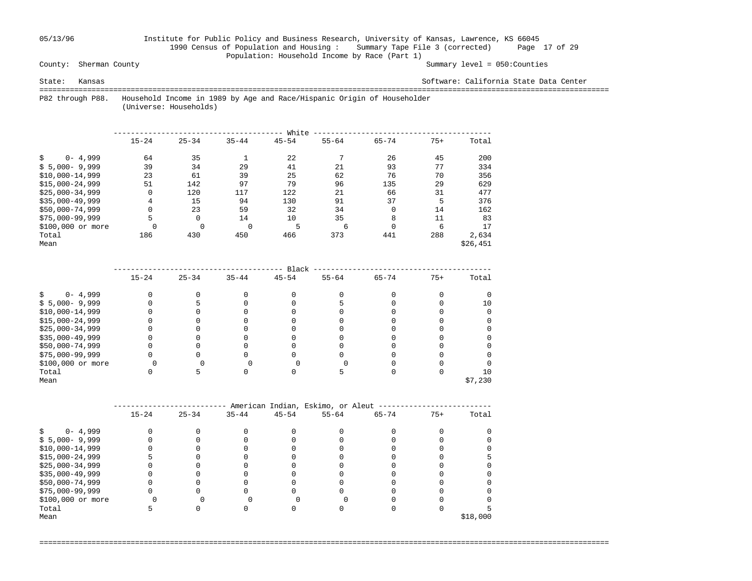# 05/13/96 Institute for Public Policy and Business Research, University of Kansas, Lawrence, KS 66045 1990 Census of Population and Housing : Summary Tape File 3 (corrected) Page 17 of 29 Population: Household Income by Race (Part 1)<br>County: Sherman County

### Summary level =  $050$ : Counties

State: Kansas Software: California State Data Center

 =================================================================================================================================== P82 through P88. Household Income in 1989 by Age and Race/Hispanic Origin of Householder

(Universe: Households)

|                    | White     |           |           |           |           |             |       |          |  |  |  |  |
|--------------------|-----------|-----------|-----------|-----------|-----------|-------------|-------|----------|--|--|--|--|
|                    | $15 - 24$ | $25 - 34$ | $35 - 44$ | $45 - 54$ | $55 - 64$ | $65 - 74$   | $75+$ | Total    |  |  |  |  |
| $0 - 4,999$<br>Ŝ.  | 64        | 35        |           | 22        |           | 26          | 45    | 200      |  |  |  |  |
| $$5,000-9,999$     | 39        | 34        | 29        | 41        | 21        | 93          | 77    | 334      |  |  |  |  |
| $$10,000-14,999$   | 23        | 61        | 39        | 25        | 62        | 76          | 70    | 356      |  |  |  |  |
| $$15.000 - 24.999$ | 51        | 142       | 97        | 79        | 96        | 135         | 29    | 629      |  |  |  |  |
| $$25.000 - 34.999$ | 0         | 120       | 117       | 122       | 21        | 66          | 31    | 477      |  |  |  |  |
| $$35,000-49,999$   | 4         | 15        | 94        | 130       | 91        | 37          | 5     | 376      |  |  |  |  |
| $$50,000-74,999$   | 0         | 23        | 59        | 32        | 34        | $\mathbf 0$ | 14    | 162      |  |  |  |  |
| $$75,000-99,999$   | 5         | 0         | 14        | 10        | 35        | 8           | 11    | 83       |  |  |  |  |
| \$100,000 or more  | $\Omega$  | $\Omega$  | $\Omega$  | 5         | 6         | $\Omega$    | 6     | 17       |  |  |  |  |
| Total              | 186       | 430       | 450       | 466       | 373       | 441         | 288   | 2,634    |  |  |  |  |
| Mean               |           |           |           |           |           |             |       | \$26,451 |  |  |  |  |

|                   |           |           |           | Black     |           |           |       |         |
|-------------------|-----------|-----------|-----------|-----------|-----------|-----------|-------|---------|
|                   | $15 - 24$ | $25 - 34$ | $35 - 44$ | $45 - 54$ | $55 - 64$ | $65 - 74$ | $75+$ | Total   |
| $0 - 4,999$       |           |           |           |           |           |           |       |         |
| $$5,000-9,999$    |           |           |           |           |           |           |       | 10      |
| $$10,000-14,999$  |           |           |           |           |           |           |       |         |
| $$15,000-24,999$  |           |           |           |           |           |           |       |         |
| $$25,000-34,999$  |           |           |           |           |           |           |       |         |
| $$35,000-49,999$  |           |           |           |           |           |           |       |         |
| \$50,000-74,999   |           |           |           |           |           |           |       |         |
| $$75,000-99,999$  |           |           |           |           |           |           |       |         |
| \$100,000 or more |           |           |           |           |           |           |       |         |
| Total             |           |           |           |           |           |           |       | 10      |
| Mean              |           |           |           |           |           |           |       | \$7,230 |

|                   |           |           |           |           | American Indian, Eskimo, or Aleut |           |       |          |
|-------------------|-----------|-----------|-----------|-----------|-----------------------------------|-----------|-------|----------|
|                   | $15 - 24$ | $25 - 34$ | $35 - 44$ | $45 - 54$ | $55 - 64$                         | $65 - 74$ | $75+$ | Total    |
|                   |           |           |           |           |                                   |           |       |          |
| $0 - 4,999$       |           |           |           |           |                                   |           |       |          |
| $$5,000-9,999$    |           |           |           |           |                                   |           |       |          |
| $$10,000-14,999$  |           |           |           |           |                                   |           |       |          |
| $$15,000-24,999$  |           |           |           |           |                                   |           |       |          |
| $$25,000-34,999$  |           |           |           |           |                                   |           |       |          |
| $$35,000-49,999$  |           |           |           |           |                                   |           |       |          |
| \$50,000-74,999   |           |           |           |           |                                   |           |       |          |
| $$75,000-99,999$  |           |           |           |           |                                   |           |       |          |
| \$100,000 or more |           |           |           |           |                                   |           |       |          |
| Total             |           |           |           |           |                                   |           |       |          |
| Mean              |           |           |           |           |                                   |           |       | \$18,000 |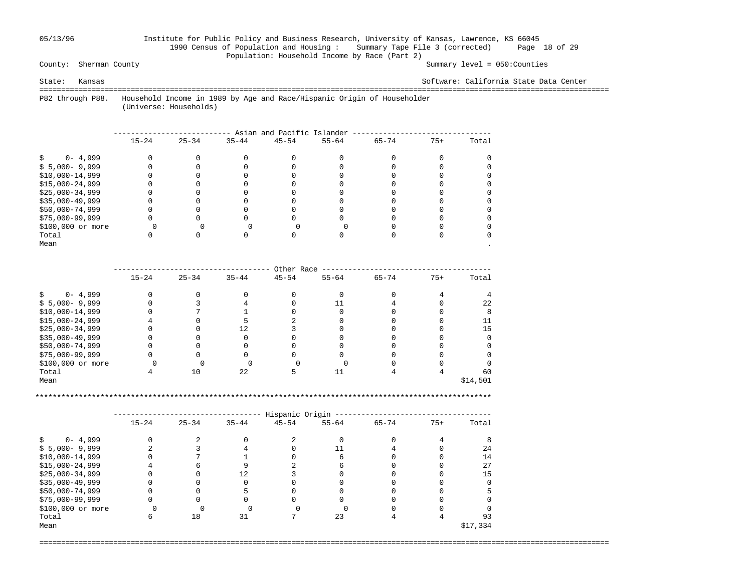### 05/13/96 Institute for Public Policy and Business Research, University of Kansas, Lawrence, KS 66045 1990 Census of Population and Housing : Summary Tape File 3 (corrected) Page 18 of 29 Population: Household Income by Race (Part 2)<br>County: Sherman County

Summary level =  $050$ : Counties

State: Kansas Software: California State Data Center

 =================================================================================================================================== P82 through P88. Household Income in 1989 by Age and Race/Hispanic Origin of Householder

(Universe: Households)

|                   |           |           |           | Asian and Pacific Islander |           |           |       |       |
|-------------------|-----------|-----------|-----------|----------------------------|-----------|-----------|-------|-------|
|                   | $15 - 24$ | $25 - 34$ | $35 - 44$ | $45 - 54$                  | $55 - 64$ | $65 - 74$ | $75+$ | Total |
| $0 - 4,999$       |           |           |           |                            |           |           |       |       |
| $$5,000-9,999$    |           |           |           |                            |           |           |       |       |
| $$10,000-14,999$  |           |           |           |                            |           |           |       |       |
| $$15,000-24,999$  |           |           |           |                            |           |           |       |       |
| $$25,000-34,999$  |           |           |           |                            |           |           |       |       |
| $$35,000-49,999$  |           |           |           |                            |           |           |       |       |
| \$50,000-74,999   |           |           |           |                            |           |           |       |       |
| $$75,000-99,999$  |           |           |           |                            |           |           |       |       |
| \$100,000 or more |           |           |           |                            |           |           |       |       |
| Total             |           |           |           |                            |           |           |       |       |
| Mean              |           |           |           |                            |           |           |       |       |

|                   |           |           |           | Other Race |           |           |       |          |
|-------------------|-----------|-----------|-----------|------------|-----------|-----------|-------|----------|
|                   | $15 - 24$ | $25 - 34$ | $35 - 44$ | $45 - 54$  | $55 - 64$ | $65 - 74$ | $75+$ | Total    |
| $0 - 4,999$       |           |           |           |            |           |           |       |          |
| $$5,000-9,999$    |           |           |           |            |           |           |       | 22       |
| $$10,000-14,999$  |           |           |           |            |           |           |       |          |
| $$15,000-24,999$  |           |           |           |            |           |           |       |          |
| $$25,000-34,999$  |           |           |           |            |           |           |       | 15       |
| $$35,000-49,999$  |           |           |           |            |           |           |       |          |
| \$50,000-74,999   |           |           |           |            |           |           |       |          |
| \$75,000-99,999   |           |           |           |            |           |           |       |          |
| \$100,000 or more |           |           |           |            |           |           |       |          |
| Total             |           | 10        | 22        |            |           |           |       | 60       |
| Mean              |           |           |           |            |           |           |       | \$14,501 |

\*\*\*\*\*\*\*\*\*\*\*\*\*\*\*\*\*\*\*\*\*\*\*\*\*\*\*\*\*\*\*\*\*\*\*\*\*\*\*\*\*\*\*\*\*\*\*\*\*\*\*\*\*\*\*\*\*\*\*\*\*\*\*\*\*\*\*\*\*\*\*\*\*\*\*\*\*\*\*\*\*\*\*\*\*\*\*\*\*\*\*\*\*\*\*\*\*\*\*\*\*\*\*\*\*

|                   |           |           |           | Hispanic Origin |           |           |       |          |
|-------------------|-----------|-----------|-----------|-----------------|-----------|-----------|-------|----------|
|                   | $15 - 24$ | $25 - 34$ | $35 - 44$ | $45 - 54$       | $55 - 64$ | $65 - 74$ | $75+$ | Total    |
| $0 - 4,999$       |           |           |           |                 |           |           |       |          |
| $$5,000-9,999$    |           |           |           |                 |           |           |       | 24       |
| $$10,000-14,999$  |           |           |           |                 |           |           |       | 14       |
| $$15,000-24,999$  |           |           |           |                 |           |           |       | 27       |
| $$25,000-34,999$  |           |           | 12        |                 |           |           |       | 15       |
| $$35,000-49,999$  |           |           |           |                 |           |           |       |          |
| $$50,000-74,999$  |           |           |           |                 |           |           |       |          |
| $$75,000-99,999$  |           |           |           |                 |           |           |       |          |
| \$100,000 or more |           |           |           |                 |           |           |       |          |
| Total             |           | 18        | 31        |                 | 23        |           |       | 93       |
| Mean              |           |           |           |                 |           |           |       | \$17,334 |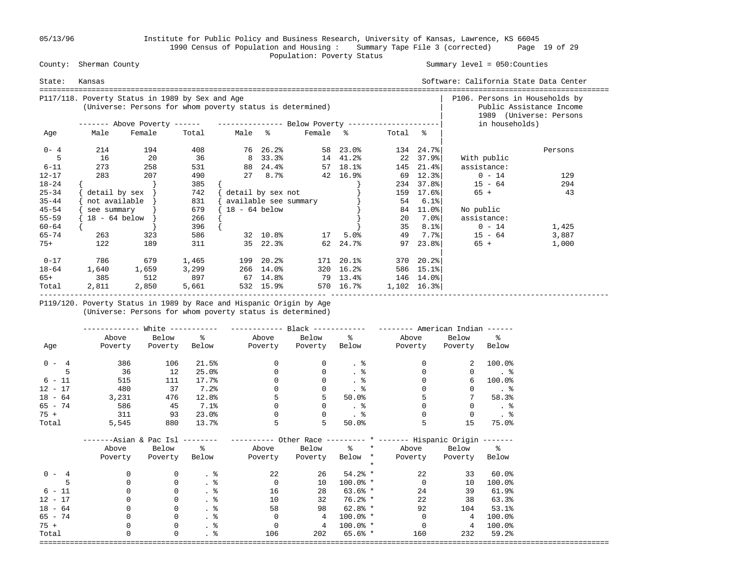05/13/96 Institute for Public Policy and Business Research, University of Kansas, Lawrence, KS 66045 1990 Census of Population and Housing : Summary Tape File 3 (corrected) Page 19 of 29 County: Sherman County and County of the Population: Poverty Status County: Sherman County

### Summary level =  $050$ : Counties

| State:    | Kansas                         |                                                                                                              |       |                 |                       |          |           |         |                           | Software: California State Data Center |                                                     |
|-----------|--------------------------------|--------------------------------------------------------------------------------------------------------------|-------|-----------------|-----------------------|----------|-----------|---------|---------------------------|----------------------------------------|-----------------------------------------------------|
|           |                                | P117/118. Poverty Status in 1989 by Sex and Age<br>(Universe: Persons for whom poverty status is determined) |       |                 |                       |          |           |         |                           | P106. Persons in Households by         | Public Assistance Income<br>1989 (Universe: Persons |
|           |                                | ------- Above Poverty ------ ---------------- Below Poverty --------------------                             |       |                 |                       |          |           |         |                           | in households)                         |                                                     |
| Age       | Male                           | Female                                                                                                       | Total | Male %          |                       | Female % |           | Total % |                           |                                        |                                                     |
| $0 - 4$   | 214                            | 194                                                                                                          | 408   |                 | 76 26.2%              |          | 58 23.0%  |         | 134 24.7%                 |                                        | Persons                                             |
|           | 16                             | 20                                                                                                           | 36    |                 | 8 33.3%               | 14 41.2% |           |         | 22 37.9%                  | With public                            |                                                     |
| $6 - 11$  | 273                            | 258                                                                                                          | 531   |                 | 88 24.4%              |          | 57 18.1%  |         | 145 21.4%                 | assistance:                            |                                                     |
| $12 - 17$ | 283                            | 207                                                                                                          | 490   |                 | $278.7$ %             |          | 42 16.9%  |         | 69 12.3%                  | $0 - 14$                               | 129                                                 |
| $18 - 24$ |                                |                                                                                                              | 385   |                 |                       |          |           |         | 234 37.8%                 | $15 - 64$                              | 294                                                 |
| $25 - 34$ | $\delta$ detail by sex $\vert$ |                                                                                                              | 742   |                 | detail by sex not     |          |           |         | 159 17.6%                 | 65 +                                   | 43                                                  |
| $35 - 44$ | not available                  |                                                                                                              | 831   |                 | available see summary |          |           | 54      | 6.1%                      |                                        |                                                     |
| $45 - 54$ | see summary                    |                                                                                                              | 679   | $18 - 64$ below |                       |          |           |         | 84 11.0%                  | No public                              |                                                     |
| $55 - 59$ | 18 - 64 below                  |                                                                                                              | 266   |                 |                       |          |           | 20      | 7.0%                      | assistance:                            |                                                     |
| $60 - 64$ |                                |                                                                                                              | 396   |                 |                       |          |           | 35      | $8.1$ $8$                 | $0 - 14$                               | 1,425                                               |
| $65 - 74$ | 263                            | 323                                                                                                          | 586   |                 | 32 10.8%              | 17       | 5.0%      | 49      | 7.7%                      | $15 - 64$                              | 3,887                                               |
| $75+$     | 122                            | 189                                                                                                          | 311   |                 | 35 22.3%              |          | 62 24.7%  | 97      | 23.88                     | $65 +$                                 | 1,000                                               |
| $0 - 17$  | 786                            | 679                                                                                                          | 1,465 |                 | 199 20.2%             |          | 171 20.1% |         | $370$ $20.2$ <sup>8</sup> |                                        |                                                     |
| 18-64     | 1,640                          | 1,659                                                                                                        | 3,299 |                 | 266 14.0%             |          | 320 16.2% |         | 586 15.1%                 |                                        |                                                     |
| 65+       | 385                            | 512                                                                                                          |       | 897 67 14.8%    |                       | 79 13.4% |           |         | 146 14.0%                 |                                        |                                                     |
| Total     | 2,811                          | 2,850                                                                                                        | 5,661 |                 | 532 15.9%             |          | 570 16.7% | 1,102   | 16.3%                     |                                        |                                                     |

 P119/120. Poverty Status in 1989 by Race and Hispanic Origin by Age (Universe: Persons for whom poverty status is determined)

|           |                               | White $-----$ |                 | ------------ Black ------------ |                         |               | $------$ American Indian $---$                                    |                |                      |
|-----------|-------------------------------|---------------|-----------------|---------------------------------|-------------------------|---------------|-------------------------------------------------------------------|----------------|----------------------|
|           | Above                         | Below %       |                 |                                 | Above Below %           |               | Above                                                             | Below          | $\sim$ $\sim$        |
| Age       | Poverty                       | Poverty       |                 | Below Poverty Poverty Below     |                         |               | Poverty                                                           | Poverty Below  |                      |
| $0 - 4$   | 386                           | 106           | 21.5%           | $\overline{0}$                  | 0                       | . 응           | $\Omega$                                                          | 2              | 100.0%               |
| 5         | 36                            | 12            | 25.0%           | $\mathbf{0}$                    | 0                       | $\frac{8}{3}$ | $\Omega$                                                          | $\mathbf{0}$   | $\ddotsc$            |
| $6 - 11$  | 515                           | 111           | 17.7%           | 0                               |                         | $\frac{8}{3}$ |                                                                   | 6              | 100.0%               |
| $12 - 17$ | 480                           | 37            | 7.2%            |                                 |                         |               |                                                                   | 0              | $\ddot{\phantom{1}}$ |
| $18 - 64$ | 3,231                         | 476           | 12.8%           |                                 |                         | 50.0%         |                                                                   |                | 58.3%                |
| 65 - 74   | 586                           | 45            | 7.1%            | $\Omega$                        |                         | . ક           |                                                                   | $\Omega$       | $.$ $\delta$         |
| $75 +$    | 311                           | 93            | 23.0%           | $\Omega$                        | $\Omega$                | $\ddotsc$     | $\Omega$                                                          | $\Omega$       | $\ddotsc$            |
| Total     | 5,545                         | 880           | 13.7%           | 5                               | 5                       | 50.0%         | 5                                                                 | 15             | 75.0%                |
|           | -----Asian & Pac Isl -------- |               |                 |                                 |                         |               | ---------- Other Race --------- * ------- Hispanic Origin ------- |                |                      |
|           | Above                         | Below %       |                 |                                 |                         |               | Above Below % * Above Below %                                     |                |                      |
|           | Poverty                       | Poverty       | Below           |                                 | Poverty Poverty Below * |               | Poverty                                                           | Poverty Below  |                      |
|           |                               |               |                 |                                 |                         | $\star$       |                                                                   |                |                      |
| $0 - 4$   | 0                             | 0             | $\cdot$ %       | 22                              | 26                      | $54.2%$ *     | 22                                                                | 33             | $60.0$ °             |
|           | 0                             | $\mathbf 0$   | $\frac{8}{3}$   | $\overline{0}$                  | 10                      | $100.0%$ *    | $\Omega$                                                          | 10             | 100.0%               |
| $6 - 11$  |                               | $\mathbf 0$   | $\frac{8}{100}$ | 16                              | 28                      | $63.6%*$      | 24                                                                | 39             | 61.9%                |
| $12 - 17$ |                               | 0             | $\frac{8}{3}$   | 10                              | 32                      | $76.2%$ *     | 22                                                                | 38             | 63.3%                |
| $18 - 64$ |                               | 0             | $\frac{8}{3}$   | 58                              | 98                      | $62.8%$ *     | 92                                                                | 104            | 53.1%                |
| $65 - 74$ |                               | $\mathbf 0$   | . 응             | $\overline{0}$                  | $\overline{4}$          | $100.0%$ *    | $\overline{0}$                                                    | $\overline{4}$ | 100.0%               |
| $75 +$    |                               | $\mathbf 0$   | . 응             | $\overline{0}$                  | $\overline{4}$          | $100.0%$ *    | $\overline{0}$                                                    | 4              | 100.0%               |
| Total     | 0                             | $\mathbf 0$   | $\frac{8}{100}$ | 106                             | 202                     | $65.6%*$      | 160                                                               | 232            | 59.2%                |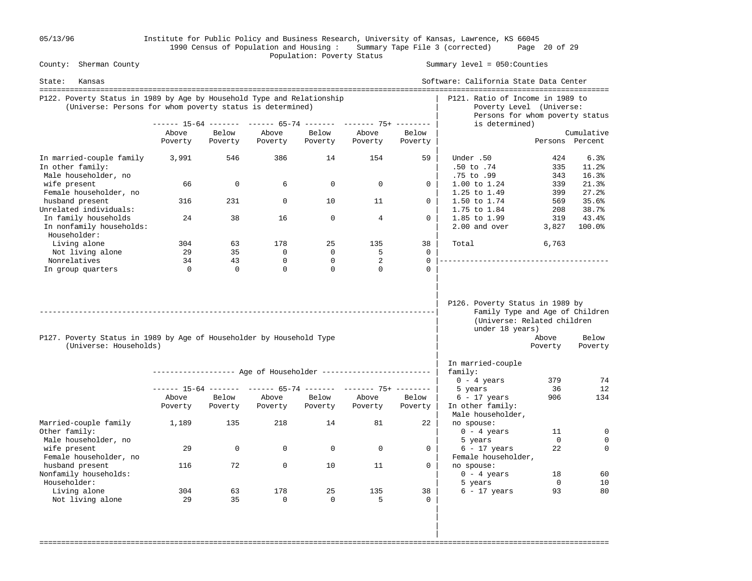05/13/96 Institute for Public Policy and Business Research, University of Kansas, Lawrence, KS 66045 1990 Census of Population and Housing : Summary Tape File 3 (corrected) Page 20 of 29 County: Sherman County and County of the Population: Poverty Status County: Sherman County

Summary level =  $050$ : Counties

| State:<br>Kansas                                                                                                                    |                  |                  |                    |                  |                                                                |                    | Software: California State Data Center                                                                               |                   |                         |
|-------------------------------------------------------------------------------------------------------------------------------------|------------------|------------------|--------------------|------------------|----------------------------------------------------------------|--------------------|----------------------------------------------------------------------------------------------------------------------|-------------------|-------------------------|
| P122. Poverty Status in 1989 by Age by Household Type and Relationship<br>(Universe: Persons for whom poverty status is determined) |                  |                  |                    |                  |                                                                |                    | P121. Ratio of Income in 1989 to<br>Poverty Level (Universe:<br>Persons for whom poverty status                      |                   |                         |
|                                                                                                                                     |                  |                  |                    |                  | ------ 15-64 ------- ------ 65-74 ------- ------- 75+ -------- |                    | is determined)                                                                                                       |                   |                         |
|                                                                                                                                     | Above            | Below            | Above              | Below            | Above                                                          | Below              |                                                                                                                      |                   | Cumulative              |
|                                                                                                                                     | Poverty          | Poverty          | Poverty            | Poverty          | Poverty                                                        | Poverty            |                                                                                                                      | Persons Percent   |                         |
| In married-couple family<br>In other family:<br>Male householder, no                                                                | 3,991            | 546              | 386                | 14               | 154                                                            | 59                 | Under .50<br>$.50$ to $.74$<br>.75 to .99                                                                            | 424<br>335<br>343 | 6.3%<br>11.2%<br>16.3%  |
| wife present<br>Female householder, no                                                                                              | 66               | 0                | 6                  | $\mathbf 0$      | $\mathbf 0$                                                    | $\mathbf{0}$       | $1.00$ to $1.24$<br>1.25 to 1.49                                                                                     | 339<br>399        | 21.3%<br>27.2%          |
| husband present<br>Unrelated individuals:                                                                                           | 316              | 231              | $\Omega$           | 10               | 11                                                             | $\Omega$           | 1.50 to 1.74<br>1.75 to 1.84                                                                                         | 569<br>208        | 35.6%<br>38.7%          |
| In family households<br>In nonfamily households:<br>Householder:                                                                    | 24               | 38               | 16                 | $\mathbf{0}$     | $\overline{4}$                                                 | $\Omega$           | 1.85 to 1.99<br>2.00 and over                                                                                        | 319<br>3,827      | 43.4%<br>100.0%         |
| Living alone                                                                                                                        | 304              | 63               | 178                | 25               | 135                                                            | 38                 | Total                                                                                                                | 6,763             |                         |
| Not living alone                                                                                                                    | 29               | 35               | $\Omega$           | $\mathbf 0$      | 5                                                              | $\Omega$           |                                                                                                                      |                   |                         |
| Nonrelatives                                                                                                                        | 34               | 43               | 0                  | $\mathbf 0$      | 2                                                              | $\Omega$           |                                                                                                                      |                   |                         |
| In group quarters                                                                                                                   | $\mathbf{0}$     | $\Omega$         | $\Omega$           | $\Omega$         | $\Omega$                                                       | $\cap$             |                                                                                                                      |                   |                         |
| P127. Poverty Status in 1989 by Age of Householder by Household Type<br>(Universe: Households)                                      |                  |                  |                    |                  |                                                                |                    | P126. Poverty Status in 1989 by<br>Family Type and Age of Children<br>(Universe: Related children<br>under 18 years) | Above<br>Poverty  | Below<br>Poverty        |
|                                                                                                                                     |                  |                  |                    |                  |                                                                |                    | In married-couple                                                                                                    |                   |                         |
|                                                                                                                                     |                  |                  |                    |                  | ------------------ Age of Householder ------------------------ |                    | family:                                                                                                              |                   |                         |
|                                                                                                                                     |                  |                  |                    |                  |                                                                |                    | $0 - 4$ years                                                                                                        | 379               | 74                      |
|                                                                                                                                     |                  |                  |                    |                  | ------ 15-64 ------- ------ 65-74 ------- ------- 75+ -------- |                    | 5 years                                                                                                              | 36                | 12                      |
|                                                                                                                                     | Above<br>Poverty | Below<br>Poverty | Above<br>Poverty   | Below<br>Poverty | Above<br>Poverty                                               | Below<br>Poverty   | $6 - 17$ years<br>In other family:<br>Male householder,                                                              | 906               | 134                     |
| Married-couple family<br>Other family:                                                                                              | 1,189            | 135              | 218                | 14               | 81                                                             | 22                 | no spouse:<br>$0 - 4$ years                                                                                          | 11                | $\mathbf 0$             |
| Male householder, no<br>wife present<br>Female householder, no                                                                      | 29               | 0                | $\Omega$           | $\Omega$         | $\Omega$                                                       | $\Omega$           | 5 years<br>$6 - 17$ years<br>Female householder,                                                                     | $\Omega$<br>22    | $\mathbf 0$<br>$\Omega$ |
| husband present<br>Nonfamily households:<br>Householder:                                                                            | 116              | 72               | $\mathbf 0$        | 10               | 11                                                             | $\Omega$           | no spouse:<br>$0 - 4 \text{ years}$<br>5 years                                                                       | 18<br>$\mathbf 0$ | 60<br>10                |
| Living alone<br>Not living alone                                                                                                    | 304<br>29        | 63<br>35         | 178<br>$\mathbf 0$ | 25<br>$\Omega$   | 135<br>5                                                       | 38<br>$\mathbf{0}$ | $6 - 17$ years                                                                                                       | 93                | 80                      |
|                                                                                                                                     |                  |                  |                    |                  |                                                                |                    |                                                                                                                      |                   |                         |

===================================================================================================================================

 | | |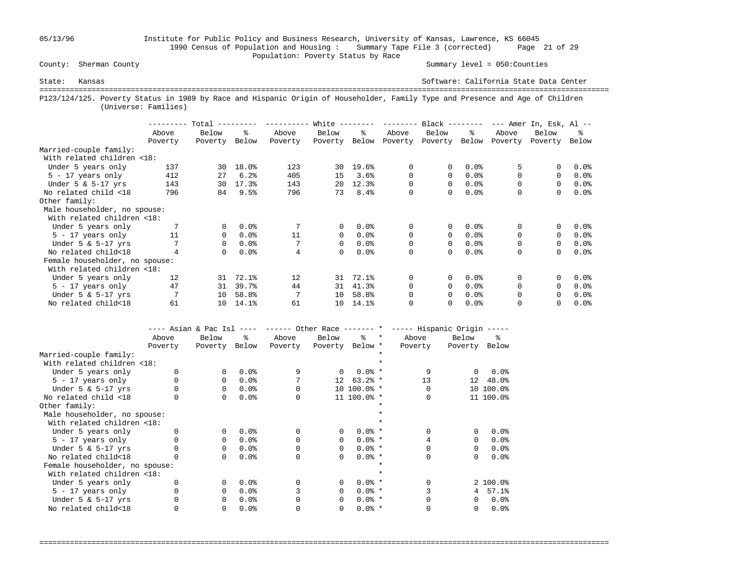# 05/13/96 Institute for Public Policy and Business Research, University of Kansas, Lawrence, KS 66045 1990 Census of Population and Housing : Summary Tape File 3 (corrected) Page 21 of 29 Population: Poverty Status by Race<br>
County: Sherman County

Summary level =  $050$ : Counties

State: Kansas Software: California State Data Center =================================================================================================================================== P123/124/125. Poverty Status in 1989 by Race and Hispanic Origin of Householder, Family Type and Presence and Age of Children (Universe: Families)

|                                |         | Total    |       |         | White $-$ |         | --------- | $Black$ -------- |       |          | $---$ Amer In, Esk, Al $---$ |         |
|--------------------------------|---------|----------|-------|---------|-----------|---------|-----------|------------------|-------|----------|------------------------------|---------|
|                                | Above   | Below    | ፠     | Above   | Below     | ዱ       | Above     | Below            | ႜ     | Above    | Below                        | ፠       |
|                                | Poverty | Poverty  | Below | Poverty | Poverty   | Below   | Poverty   | Poverty          | Below | Poverty  | Poverty                      | Below   |
| Married-couple family:         |         |          |       |         |           |         |           |                  |       |          |                              |         |
| With related children <18:     |         |          |       |         |           |         |           |                  |       |          |                              |         |
| Under 5 years only             | 137     | 30       | 18.0% | 123     | 30        | 19.6%   | 0         | 0                | 0.0%  |          |                              | 0.0%    |
| $5 - 17$ years only            | 412     | 27       | 6.2%  | 405     | 15        | 3.6%    | 0         | 0                | 0.0%  | $\Omega$ | $\Omega$                     | $0.0$ % |
| Under $5 \& 5-17$ yrs          | 143     | 30       | 17.3% | 143     | 20        | 12.3%   | 0         | 0                | 0.0%  |          | $\Omega$                     | $0.0$ % |
| No related child <18           | 796     | 84       | 9.5%  | 796     | 73        | 8.4%    | 0         | 0                | 0.0%  | 0        | 0                            | 0.0%    |
| Other family:                  |         |          |       |         |           |         |           |                  |       |          |                              |         |
| Male householder, no spouse:   |         |          |       |         |           |         |           |                  |       |          |                              |         |
| With related children <18:     |         |          |       |         |           |         |           |                  |       |          |                              |         |
| Under 5 years only             |         | 0        | 0.0%  |         | $\Omega$  | 0.0%    | 0         | 0                | 0.0%  | 0        | 0                            | 0.0%    |
| $5 - 17$ years only            | 11      | 0        | 0.0%  | 11      | $\Omega$  | $0.0$ % | 0         | $\Omega$         | 0.0%  | $\Omega$ | $\Omega$                     | $0.0$ % |
| Under $5 \& 5-17$ yrs          |         | 0        | 0.0%  |         | $\Omega$  | 0.0%    | 0         | 0                | 0.0%  | 0        | $\Omega$                     | $0.0$ % |
| No related child<18            |         | $\Omega$ | 0.0%  | 4       | $\Omega$  | 0.0%    | 0         | 0                | 0.0%  | $\Omega$ | $\Omega$                     | 0.0%    |
| Female householder, no spouse: |         |          |       |         |           |         |           |                  |       |          |                              |         |
| With related children <18:     |         |          |       |         |           |         |           |                  |       |          |                              |         |
| Under 5 years only             | 12      | 31       | 72.1% | 12      | 31        | 72.1%   | 0         | 0                | 0.0%  | $\Omega$ |                              | 0.0%    |
| $5 - 17$ years only            | 47      | 31       | 39.7% | 44      | 31        | 41.3%   | $\Omega$  | 0                | 0.0%  | $\Omega$ | $\Omega$                     | $0.0$ % |
| Under $5 \& 5-17$ yrs          |         | 10       | 58.8% | 7       | 10        | 58.8%   | 0         | 0                | 0.0%  | 0        | $\Omega$                     | 0.0%    |
| No related child<18            | 61      | 10       | 14.1% | 61      | 10        | 14.1%   | 0         | 0                | 0.0%  |          |                              | $0.0$ % |

|                                |         |          |       |          |                 |              |         | ---- Asian & Pac Isl ---- ------ Other Race ------- * ----- Hispanic Origin ----- |          |                    |
|--------------------------------|---------|----------|-------|----------|-----------------|--------------|---------|-----------------------------------------------------------------------------------|----------|--------------------|
|                                | Above   | Below    | ∻     | Above    | Below           | $\approx$    | $\star$ | Above                                                                             | Below    | ፠                  |
|                                | Poverty | Poverty  | Below | Poverty  | Poverty Below * |              |         | Poverty                                                                           | Poverty  | Below              |
| Married-couple family:         |         |          |       |          |                 |              |         |                                                                                   |          |                    |
| With related children <18:     |         |          |       |          |                 |              |         |                                                                                   |          |                    |
| Under 5 years only             |         | $\Omega$ | 0.0%  | 9        | $\Omega$        | $0.0%$ *     |         | 9                                                                                 | $\Omega$ | 0.0%               |
| $5 - 17$ years only            |         | $\Omega$ | 0.0%  |          | 12              | $63.2%$ *    |         | 13                                                                                |          | 12 48.0%           |
| Under $5 \& 5-17$ yrs          |         | $\Omega$ | 0.0%  |          |                 | $10,100.0$ * |         |                                                                                   |          | 10 100.0%          |
| No related child <18           |         | $\Omega$ | 0.0%  |          |                 | 11 100.0% *  |         |                                                                                   |          | 11 100.0%          |
| Other family:                  |         |          |       |          |                 |              |         |                                                                                   |          |                    |
| Male householder, no spouse:   |         |          |       |          |                 |              |         |                                                                                   |          |                    |
| With related children <18:     |         |          |       |          |                 |              |         |                                                                                   |          |                    |
| Under 5 years only             |         | $\Omega$ | 0.0%  | $\Omega$ | $\Omega$        | $0.0%$ *     |         |                                                                                   | 0        | 0.0%               |
| $5 - 17$ years only            |         | $\Omega$ | 0.0%  |          | $\Omega$        | $0.0%$ *     |         |                                                                                   | 0        | 0.0%               |
| Under $5 \& 5-17$ yrs          |         | $\Omega$ | 0.0%  |          | $\Omega$        | $0.0%$ *     |         |                                                                                   | 0        | 0.0%               |
| No related child<18            |         | $\Omega$ | 0.0%  | 0        | $\Omega$        | $0.0%$ *     |         | 0                                                                                 | 0        | 0.0%               |
| Female householder, no spouse: |         |          |       |          |                 |              |         |                                                                                   |          |                    |
| With related children <18:     |         |          |       |          |                 |              |         |                                                                                   |          |                    |
| Under 5 years only             |         | $\Omega$ | 0.0%  |          | $\Omega$        | $0.0%$ *     |         |                                                                                   |          | 2 100.0%           |
| $5 - 17$ years only            |         | $\Omega$ | 0.0%  |          | $\Omega$        | $0.0%$ *     |         |                                                                                   | 4        | 57.1%              |
| Under $5 \& 5-17$ yrs          |         | $\Omega$ | 0.0%  |          | $\Omega$        | $0.0%$ *     |         |                                                                                   | 0        | 0.0%               |
| No related child<18            |         | 0        | 0.0%  |          | 0               | $0.0%$ *     |         |                                                                                   | 0        | $0.0$ <sup>8</sup> |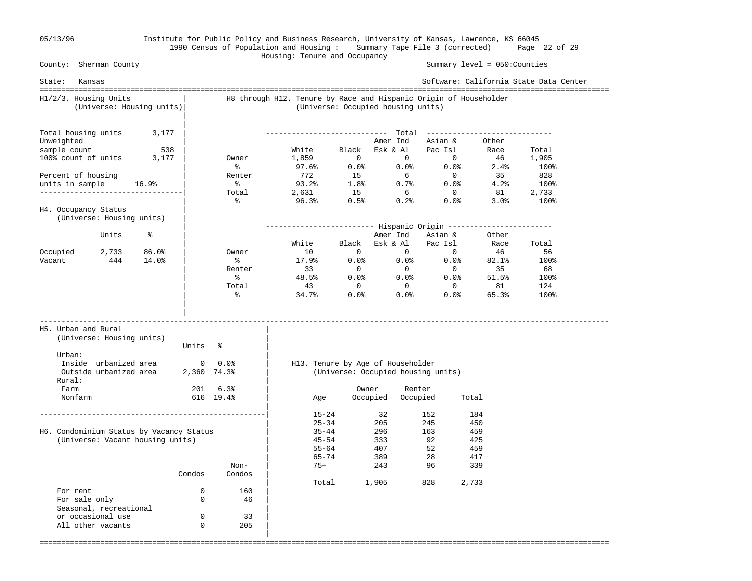### 05/13/96 Institute for Public Policy and Business Research, University of Kansas, Lawrence, KS 66045 1990 Census of Population and Housing : Summary Tape File 3 (corrected) Page 22 of 29 Housing: Tenure and Occupancy

 County: Sherman County Summary level = 050:Counties State: Kansas Software: California State Data Center =================================================================================================================================== H1/2/3. Housing Units | H8 through H12. Tenure by Race and Hispanic Origin of Householder (Universe: Housing units)| (Universe: Occupied housing units) | Total housing units  $3,177$  | Total housing units 3,177 | ---------------------------- Total ----------------------------- Unweighted | Unweighted | Amer Ind Asian & Other<br>
sample count 538 | White Black Esk & Al Pac Isl Race<br>
100% count of units 3,177 | Owner 1,859 0 0 0 46 sample count 538 | White Black Esk & Al Pac Isl Race Total 100% count of units 3,177 | Owner 1,859 0 0 0 46 1,905  $\sim$  8 97.6% 0.0% 0.0% 2.4% 100% Percent of housing  $\vert$  Renter 772 15 6 0 35 828 units in sample 16.9% | % 93.2% 1.8% 0.7% 0.0% 4.2% 100% ---------------------------------| Total 2,631 15 6 0 81 2,733  $\sim$  8 96.3% 0.5% 0.2% 0.0% 3.0% 100% H4. Occupancy Status (Universe: Housing units) | | ------------------------- Hispanic Origin ------------------------ Units % | Amer Ind Asian & Other | White Black Esk & Al Pac Isl Race Total Occupied 2,733 86.0% | Owner 10 0 0 0 0 46 56 Vacant 444 14.0% | % 17.9% 0.0% 0.0% 0.0% 82.1% 100% | Renter 33 0 0 0 35 68  $\sim$  8 38.5% 0.0% 0.0% 51.5% 100% | Total 43 0 0 0 81 124  $\sim$  8 34.7% 0.0% 0.0% 65.3% 100% | | ----------------------------------------------------------------------------------------------------------------------------------- H5. Urban and Rural | (Universe: Housing units) | Units % Urban:  $\qquad \qquad \blacksquare$  Inside urbanized area 0 0.0% | H13. Tenure by Age of Householder Outside urbanized area 2,360 74.3% | (Universe: Occupied housing units) Rural: | Farm 201 6.3% | Owner Renter Nonfarm 616 19.4% | Age Occupied Occupied Total | ----------------------------------------------------| 15-24 32 152 184  $\begin{array}{|c|c|c|c|c|}\n\hline\n\text{25--34} & \text{205} & \text{245} & \text{450} \end{array}$ H6. Condominium Status by Vacancy Status | 35-44 296 163 459 (Universe: Vacant housing units)  $\begin{array}{ccc} | & 45-54 & 333 & 92 & 425 \\ | & 55-64 & 407 & 52 & 459 \end{array}$  $|$  55-64 407 52 459  $|$  65–74 389 28 417 Non-  $\vert$  75+ 243 96 339 Condos Condos | | Total 1,905 828 2,733 For rent 0 160<br>For sale only 0 160 For sale only 0 46 0 46  $\mu$ Seasonal, recreational or occasional use  $0$  33<br>
all other vacants  $0$  305 All other vacants 0 |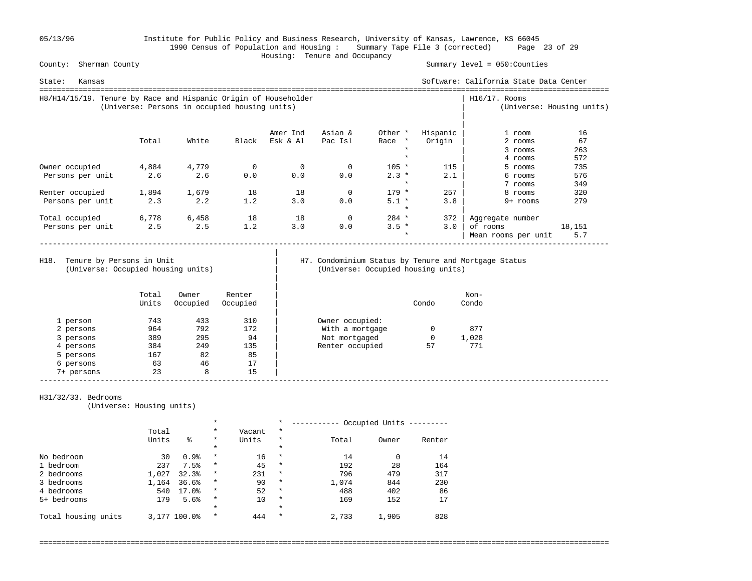05/13/96 Institute for Public Policy and Business Research, University of Kansas, Lawrence, KS 66045 1990 Census of Population and Housing : Summary Tape File 3 (corrected) Page 23 of 29 Housing: Tenure and Occupancy

Summary level =  $050$ : Counties

| State:<br>Kansas                                                |                                               |       |       |          |          |                 |          | Software: California State Data Center |                           |
|-----------------------------------------------------------------|-----------------------------------------------|-------|-------|----------|----------|-----------------|----------|----------------------------------------|---------------------------|
| H8/H14/15/19. Tenure by Race and Hispanic Origin of Householder | (Universe: Persons in occupied housing units) |       |       |          |          |                 |          | $H16/17$ . Rooms                       | (Universe: Housing units) |
|                                                                 |                                               |       |       | Amer Ind | Asian &  | Other *         | Hispanic | 1 room                                 | 16                        |
|                                                                 | Total                                         | White | Black | Esk & Al | Pac Isl  | Race<br>$\star$ | Origin   | 2 rooms                                | 67                        |
|                                                                 |                                               |       |       |          |          | $\star$         |          | 3 rooms                                | 263                       |
|                                                                 |                                               |       |       |          |          | $\star$         |          | 4 rooms                                | 572                       |
| Owner occupied                                                  | 4,884                                         | 4,779 | 0     | 0        | 0        | $105 *$         | 115      | 5 rooms                                | 735                       |
| Persons per unit                                                | 2.6                                           | 2.6   | 0.0   | 0.0      | 0.0      | $2.3 *$         | 2.1      | 6 rooms                                | 576                       |
|                                                                 |                                               |       |       |          |          | $\star$         |          | 7 rooms                                | 349                       |
| Renter occupied                                                 | 1,894                                         | 1,679 | 18    | 18       | $\Omega$ | $179 *$         | 257      | 8 rooms                                | 320                       |
| Persons per unit                                                | 2.3                                           | 2.2   | 1.2   | 3.0      | 0.0      | $5.1 *$         | 3.8      | $9+$ rooms                             | 279                       |
|                                                                 |                                               |       |       |          |          | $\star$         |          |                                        |                           |
| Total occupied                                                  | 6,778                                         | 6,458 | 18    | 18       | 0        | 284 *           | 372      | Aggregate number                       |                           |
| Persons per unit                                                | 2.5                                           | 2.5   | 1.2   | 3.0      | 0.0      | $3.5 *$         | 3.0      | of rooms                               | 18,151                    |
|                                                                 |                                               |       |       |          |          | $\star$         |          | Mean rooms per unit                    | 5.7                       |

(Universe: Occupied housing units) | (Universe: Occupied housing units)

|

|

# H18. Tenure by Persons in Unit | H7. Condominium Status by Tenure and Mortgage Status (Universe: Occupied housing units)

|            | Total<br>Units | Owner<br>Occupied | Renter<br>Occupied |                 | Condo | Non-<br>Condo |
|------------|----------------|-------------------|--------------------|-----------------|-------|---------------|
| 1 person   | 743            | 433               | 310                | Owner occupied: |       |               |
| 2 persons  | 964            | 792               | 172                | With a mortgage |       | 877           |
| 3 persons  | 389            | 295               | 94                 | Not mortgaged   | 0     | 1,028         |
| 4 persons  | 384            | 249               | 135                | Renter occupied | 57    | 771           |
| 5 persons  | 167            | 82                | 85                 |                 |       |               |
| 6 persons  | 63             | 46                | 17                 |                 |       |               |
| 7+ persons | 23             | 8                 | 15                 |                 |       |               |

### H31/32/33. Bedrooms

(Universe: Housing units)

|                     |       |        | $\ast$   |        | $\star$  |       | Occupied Units |        |
|---------------------|-------|--------|----------|--------|----------|-------|----------------|--------|
|                     | Total |        | $\star$  | Vacant | $^\star$ |       |                |        |
|                     | Units | る      | $\star$  | Units  | $^\star$ | Total | Owner          | Renter |
|                     |       |        | $\ast$   |        | $\star$  |       |                |        |
| No bedroom          | 30    | 0.9%   | $\star$  | 16     | $\star$  | 14    |                | 14     |
| 1 bedroom           | 237   | 7.5%   | $^\star$ | 45     | $\star$  | 192   | 28             | 164    |
| 2 bedrooms          | 1,027 | 32.3%  | $^\star$ | 231    | $\star$  | 796   | 479            | 317    |
| 3 bedrooms          | 1,164 | 36.6%  | $\star$  | 90     | $\star$  | 1,074 | 844            | 230    |
| 4 bedrooms          | 540   | 17.0%  | $\star$  | 52     | $\star$  | 488   | 402            | 86     |
| bedrooms<br>$5+$    | 179   | 5.6%   | $\star$  | 10     | $\star$  | 169   | 152            | 17     |
|                     |       |        | $\ast$   |        | $\star$  |       |                |        |
| Total housing units | 3,177 | 100.0% | $\star$  | 444    | $\star$  | 2,733 | 1,905          | 828    |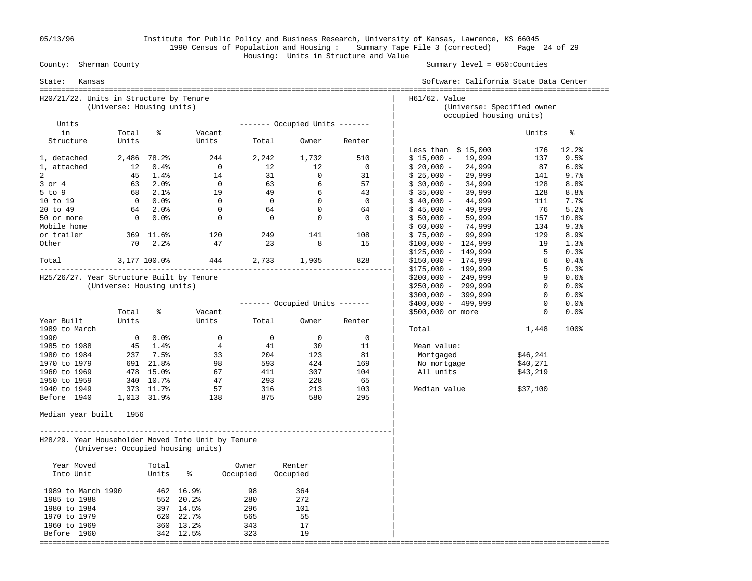05/13/96 Institute for Public Policy and Business Research, University of Kansas, Lawrence, KS 66045 1990 Census of Population and Housing : Summary Tape File 3 (corrected) Page 24 of 29 Housing: Units in Structure and Value

Summary level =  $050$ : Counties

| State:<br>Kansas                                   |                           |                         |                                    |                |                                |                | Software: California State Data Center                                 |              |       |
|----------------------------------------------------|---------------------------|-------------------------|------------------------------------|----------------|--------------------------------|----------------|------------------------------------------------------------------------|--------------|-------|
| H20/21/22. Units in Structure by Tenure            | (Universe: Housing units) |                         |                                    |                |                                |                | H61/62. Value<br>(Universe: Specified owner<br>occupied housing units) |              |       |
| Units                                              |                           |                         |                                    |                | ------- Occupied Units ------- |                |                                                                        |              |       |
| in                                                 | Total                     | ዿ                       | Vacant                             |                |                                |                |                                                                        | Units        | နွ    |
| Structure                                          | Units                     |                         | Units                              | Total          | Owner                          | Renter         | Less than $$15,000$                                                    | 176          | 12.2% |
| 1, detached                                        |                           | 2,486 78.2%             | 244                                | 2,242          | 1,732                          | 510            | $$15,000 - 19,999$                                                     | 137          | 9.5%  |
| 1, attached                                        | 12                        | $0.4\%$                 | $\overline{0}$                     | 12             | 12                             | $\mathbf 0$    | $$20,000 -$<br>24,999                                                  | 87           | 6.0%  |
| 2                                                  | 45                        | 1.4%                    | 14                                 |                | 31<br>$\overline{0}$           | 31             | $$25,000 -$<br>29,999                                                  | 141          | 9.7%  |
| $3$ or $4$                                         |                           | $63$ $2.0$ <sup>*</sup> | $\overline{0}$                     |                | 63<br>6                        | 57             | 34,999<br>\$ 30,000 -                                                  | 128          | 8.8%  |
| $5$ to $9$                                         |                           | 68 2.1%                 | 19                                 | 49             | 6                              | 43             | $$35,000 -$<br>39,999                                                  | 128          | 8.8%  |
| 10 to 19                                           |                           | $0.0$ %                 | $\overline{0}$                     | $\overline{0}$ | $\overline{0}$                 | $\overline{0}$ | 44,999<br>$$40,000 -$                                                  | 111          | 7.7%  |
| 20 to 49                                           |                           | 64 2.0%                 | $\overline{0}$                     |                | $\overline{0}$<br>64           | 64             | 49,999<br>$$45,000 -$                                                  | 76           | 5.2%  |
| 50 or more                                         |                           | $0\qquad 0.0$ %         | $\overline{0}$                     | $\overline{0}$ | $\overline{0}$                 | $\overline{0}$ | $$50,000 -$<br>59,999                                                  | 157          | 10.8% |
| Mobile home                                        |                           |                         |                                    |                |                                |                | 74,999<br>$$60,000 -$                                                  | 134          | 9.3%  |
| or trailer                                         |                           | 369 11.6%               | 120                                | 249            | 141                            | 108            | $$75,000 - 99,999$                                                     | 129          | 8.9%  |
| Other                                              | 70                        | 2.2%                    | 47                                 |                | 23<br>8                        | 15             | $$100,000 - 124,999$                                                   | 19           | 1.3%  |
|                                                    |                           |                         |                                    |                |                                |                | $$125,000 - 149,999$                                                   | 5            | 0.3%  |
| Total                                              | 3,177 100.0%              |                         |                                    |                | 444 2,733 1,905                | 828            | $$150,000 - 174,999$                                                   | 6            | 0.4%  |
|                                                    |                           |                         |                                    |                |                                |                | $$175,000 - 199,999$                                                   | 5            | 0.3%  |
| H25/26/27. Year Structure Built by Tenure          |                           |                         |                                    |                |                                |                | $$200,000 - 249,999$                                                   | 9            | 0.6%  |
|                                                    | (Universe: Housing units) |                         |                                    |                |                                |                | $$250,000 - 299,999$                                                   | $\mathbf{0}$ | 0.0%  |
|                                                    |                           |                         |                                    |                |                                |                | $$300,000 - 399,999$                                                   | $\circ$      | 0.0%  |
|                                                    |                           |                         |                                    |                | ------- Occupied Units ------- |                | $$400,000 - 499,999$                                                   | $\mathbf{0}$ | 0.0%  |
|                                                    | Total                     | နွ                      | Vacant                             |                |                                |                | \$500,000 or more                                                      | $\mathbf{0}$ | 0.0%  |
| Year Built                                         | Units                     |                         | Units                              | Total          | Owner                          | Renter         |                                                                        |              |       |
| 1989 to March                                      |                           |                         |                                    |                |                                |                | Total                                                                  | 1,448        | 100%  |
| 1990                                               |                           | $0.0$ %                 | $\mathbf 0$                        |                | $\overline{0}$<br>$\mathbf 0$  | $\mathbf 0$    |                                                                        |              |       |
| 1985 to 1988                                       |                           | 45 1.4%                 | $\overline{4}$                     | 41             | 30                             | 11             | Mean value:                                                            |              |       |
| 1980 to 1984                                       |                           | $237$ 7.5%              | 33                                 | 204            | 123                            | 81             | Mortgaged                                                              | \$46,241     |       |
| 1970 to 1979                                       |                           | 691 21.8%               | 98                                 | 593            | 424                            | 169            | No mortgage                                                            | \$40,271     |       |
| 1960 to 1969                                       |                           | 478 15.0%               | 67                                 | 411            | 307                            | 104            | All units                                                              | \$43,219     |       |
| 1950 to 1959                                       |                           | 340 10.7%               | 47                                 | 293            | 228                            | 65             |                                                                        |              |       |
| 1940 to 1949                                       |                           | 373 11.7%               | 57                                 | 316            | 213                            | 103            | Median value                                                           | \$37,100     |       |
| Before 1940                                        |                           | 1,013 31.9%             | 138                                | 875            | 580                            | 295            |                                                                        |              |       |
| Median year built 1956                             |                           |                         |                                    |                |                                |                |                                                                        |              |       |
| H28/29. Year Householder Moved Into Unit by Tenure |                           |                         | (Universe: Occupied housing units) |                |                                |                |                                                                        |              |       |
| Year Moved                                         |                           | Total                   |                                    | Owner          | Renter                         |                |                                                                        |              |       |
| Into Unit                                          |                           | Units                   | ႜ                                  | Occupied       | Occupied                       |                |                                                                        |              |       |
| 1989 to March 1990                                 |                           |                         | 462 16.9%                          | 98             | 364                            |                |                                                                        |              |       |
| 1985 to 1988                                       |                           |                         | 552 20.2%                          | 280            | 272                            |                |                                                                        |              |       |
| 1980 to 1984                                       |                           |                         | 397 14.5%                          | 296            | 101                            |                |                                                                        |              |       |
| 1970 to 1979                                       |                           |                         | 620 22.7%                          | 565            | 55                             |                |                                                                        |              |       |
| 1960 to 1969                                       |                           |                         | 360 13.2%                          | 343            | 17                             |                |                                                                        |              |       |
| Before 1960                                        |                           |                         | 342 12.5%                          | 323            | 19                             |                |                                                                        |              |       |
|                                                    |                           |                         |                                    |                |                                |                |                                                                        |              |       |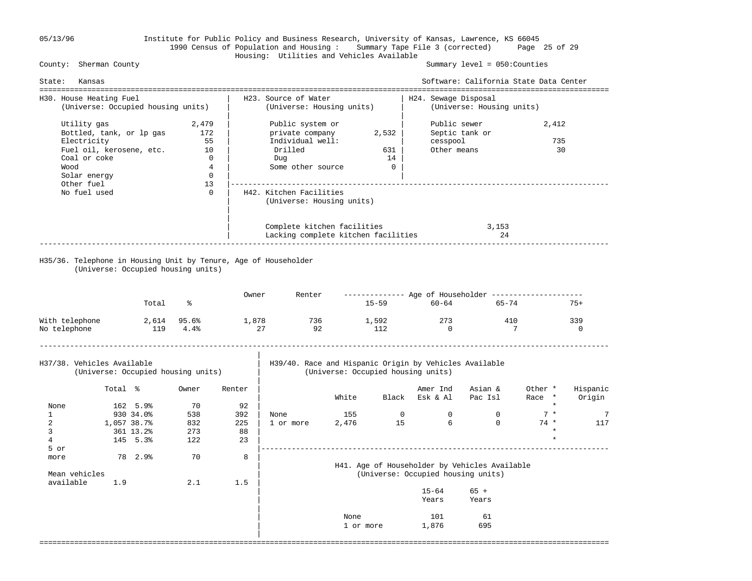# 05/13/96 Institute for Public Policy and Business Research, University of Kansas, Lawrence, KS 66045 1990 Census of Population and Housing : Summary Tape File 3 (corrected) Page 25 of 29 Housing: Utilities and Vehicles Available

### Summary level =  $050$ : Counties

| State:       | Kansas                                                                                                                     |           |                                                                              |                         |                                                                                                |           |                                      |                                                                                              | Software: California State Data Center                |                    |                    |
|--------------|----------------------------------------------------------------------------------------------------------------------------|-----------|------------------------------------------------------------------------------|-------------------------|------------------------------------------------------------------------------------------------|-----------|--------------------------------------|----------------------------------------------------------------------------------------------|-------------------------------------------------------|--------------------|--------------------|
|              | ==================================<br>H30. House Heating Fuel<br>(Universe: Occupied housing units)                        |           |                                                                              |                         | H23. Source of Water<br>(Universe: Housing units)                                              |           |                                      | H24. Sewage Disposal                                                                         | (Universe: Housing units)                             |                    |                    |
|              | Utility gas<br>Bottled, tank, or lp gas<br>Electricity<br>Fuel oil, kerosene, etc.<br>Coal or coke<br>Wood<br>Solar energy |           | 2,479<br>172<br>55<br>10<br>$\overline{0}$<br>$\overline{4}$<br>$\mathbf{0}$ |                         | Public system or<br>private company<br>Individual well:<br>Drilled<br>Duq<br>Some other source |           | 2,532<br>631<br>14<br>$\overline{0}$ | cesspool<br>Other means                                                                      | Public sewer<br>Septic tank or                        | 2,412<br>735<br>30 |                    |
|              | Other fuel<br>No fuel used                                                                                                 |           | 13<br>$\Omega$                                                               |                         | H42. Kitchen Facilities<br>(Universe: Housing units)                                           |           |                                      |                                                                                              |                                                       |                    |                    |
|              |                                                                                                                            |           |                                                                              |                         | Complete kitchen facilities<br>Lacking complete kitchen facilities                             |           |                                      |                                                                                              | 3,153<br>24                                           |                    |                    |
|              | H35/36. Telephone in Housing Unit by Tenure, Age of Householder<br>(Universe: Occupied housing units)                      |           |                                                                              |                         |                                                                                                |           |                                      |                                                                                              |                                                       |                    |                    |
|              |                                                                                                                            |           |                                                                              | Owner                   | Renter                                                                                         |           |                                      |                                                                                              | ------------- Age of Householder -------------------- |                    |                    |
|              |                                                                                                                            | Total     | ႜ                                                                            |                         |                                                                                                |           | $15 - 59$                            | $60 - 64$                                                                                    | 65-74                                                 |                    | $75+$              |
| No telephone | With telephone                                                                                                             | 119 4.4%  |                                                                              | 2,614 95.6% 1,878<br>27 | 92                                                                                             | 736 1,592 | 112                                  | 273<br>$\overline{0}$                                                                        | 410                                                   | 7                  | 339<br>$\Omega$    |
|              | H37/38. Vehicles Available<br>(Universe: Occupied housing units)                                                           |           |                                                                              |                         |                                                                                                |           |                                      | H39/40. Race and Hispanic Origin by Vehicles Available<br>(Universe: Occupied housing units) |                                                       |                    |                    |
|              | Total %                                                                                                                    |           | Owner                                                                        | Renter                  |                                                                                                | White     |                                      | Amer Ind<br>Black Esk & Al                                                                   | Asian &<br>Pac Isl                                    | Other *<br>Race *  | Hispanic<br>Origin |
| None         |                                                                                                                            | 162 5.9%  | 70                                                                           | 92                      |                                                                                                |           |                                      |                                                                                              |                                                       | $\star$            |                    |
| $\mathbf{1}$ |                                                                                                                            | 930 34.0% | 538                                                                          | 392                     | None                                                                                           | 155       |                                      | 0<br>$\mathbf{0}$                                                                            | $\mathbf{0}$                                          | $7 *$              | 7                  |
| 2            | 1,057 38.7%                                                                                                                |           | 832                                                                          | 225                     | 1 or more                                                                                      | 2,476     | 15                                   | 6                                                                                            | $\Omega$                                              | $74*$              | 117                |
|              |                                                                                                                            | 361 13.2% | 273                                                                          | 88                      |                                                                                                |           |                                      |                                                                                              |                                                       | $\star$            |                    |

 3 361 13.2% 273 88 | \* 4 145 5.3% 122 23 | \*

5 or |--------------------------------------------------------------------------------

===================================================================================================================================

# | H41. Age of Householder by Vehicles Available<br>| H41. Age of Householder by Vehicles Available<br>| Universe: Occupied housing units Mean vehicles in the contract of the contract of the contract of the contract of the contract of the contract of the contract of the contract of the contract of the contract of the contract of the contract of the contract

|           | $15 - 64$<br>Years | $65 +$<br>Years |
|-----------|--------------------|-----------------|
|           |                    |                 |
| None      | 101                | 61              |
| 1 or more | 1,876              | 695             |

more 78 2.9% 70 8 |

|

available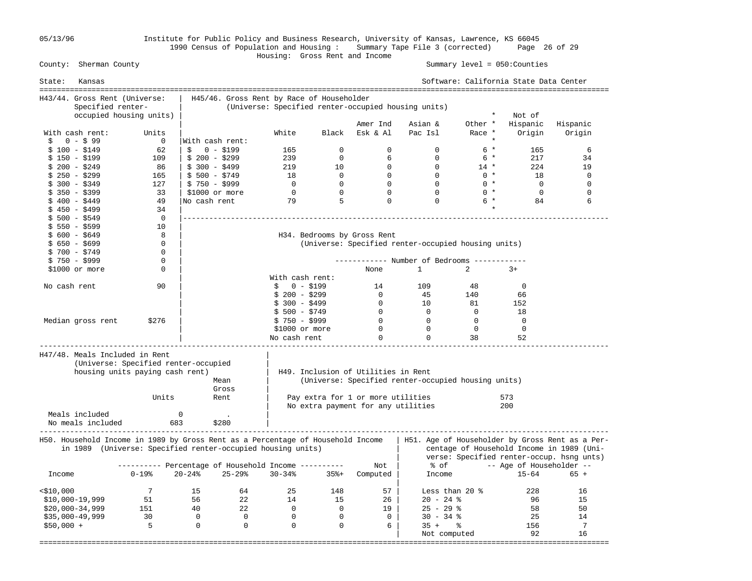05/13/96 Institute for Public Policy and Business Research, University of Kansas, Lawrence, KS 66045 1990 Census of Population and Housing : Summary Tape File 3 (corrected) Page 26 of 29

### Housing: Gross Rent and Income Summary level =  $050$ : Counties

| State:       | Kansas                         |                                                                                                                                                |                 |                |                                           |                |                                     |                                                     |                | Software: California State Data Center<br>============================ |                                                                                                                                           |
|--------------|--------------------------------|------------------------------------------------------------------------------------------------------------------------------------------------|-----------------|----------------|-------------------------------------------|----------------|-------------------------------------|-----------------------------------------------------|----------------|------------------------------------------------------------------------|-------------------------------------------------------------------------------------------------------------------------------------------|
|              | H43/44. Gross Rent (Universe:  |                                                                                                                                                |                 |                | H45/46. Gross Rent by Race of Householder |                |                                     |                                                     |                |                                                                        |                                                                                                                                           |
|              | Specified renter-              |                                                                                                                                                |                 |                |                                           |                |                                     | (Universe: Specified renter-occupied housing units) |                |                                                                        |                                                                                                                                           |
|              |                                | occupied housing units)                                                                                                                        |                 |                |                                           |                |                                     |                                                     | $\star$        | Not of                                                                 |                                                                                                                                           |
|              |                                |                                                                                                                                                |                 |                |                                           |                | Amer Ind                            | Asian &                                             | Other *        | Hispanic                                                               | Hispanic                                                                                                                                  |
|              | With cash rent:                | Units                                                                                                                                          |                 |                | White                                     | Black          | Esk & Al                            | Pac Isl                                             | Race *         | Origin                                                                 | Origin                                                                                                                                    |
| \$           | $0 - $99$                      | $\overline{0}$                                                                                                                                 | With cash rent: |                |                                           |                |                                     |                                                     |                |                                                                        |                                                                                                                                           |
|              | $$100 - $149$                  | 62                                                                                                                                             | Ŝ.              | $0 - $199$     | 165                                       | $\Omega$       | $\Omega$                            | $\mathbf 0$                                         | $6*$           | 165                                                                    | 6                                                                                                                                         |
|              | $$150 - $199$                  | 109                                                                                                                                            | $$200 - $299$   |                | 239                                       | $\Omega$       | 6                                   | $\Omega$                                            | $6*$           | 217                                                                    | 34                                                                                                                                        |
|              | $$200 - $249$                  | - 86                                                                                                                                           | $$300 - $499$   |                | 219                                       | 10             | $\mathbf 0$                         | $\overline{0}$                                      | $14$ *         | 224                                                                    | 19                                                                                                                                        |
|              | $$250 - $299$                  | 165                                                                                                                                            | $$500 - $749$   |                | 18                                        | $\overline{0}$ | $\overline{0}$                      | $\Omega$                                            | $0 *$          | 18                                                                     | $\mathbf 0$                                                                                                                               |
|              | \$ 300 - \$349                 | 127                                                                                                                                            | $$750 - $999$   |                | $\overline{0}$                            | $\overline{0}$ | $\Omega$                            | $\Omega$                                            | $0 *$          | $\Omega$                                                               | $\Omega$                                                                                                                                  |
|              | $$350 - $399$                  | 33                                                                                                                                             |                 | \$1000 or more | $\overline{0}$                            | $\overline{0}$ | $\mathbf 0$                         | $\mathbf 0$                                         | $0 *$          | $\mathbf 0$                                                            | $\mathbf 0$                                                                                                                               |
|              | $$400 - $449$                  | 49                                                                                                                                             | No cash rent    |                | 79                                        | 5              | $\mathbf 0$                         | $\Omega$                                            | 6 *            | 84                                                                     | 6                                                                                                                                         |
|              | $$450 - $499$                  | 34                                                                                                                                             |                 |                |                                           |                |                                     |                                                     |                |                                                                        |                                                                                                                                           |
|              | $$500 - $549$                  | $\mathbf 0$                                                                                                                                    |                 |                |                                           |                |                                     |                                                     |                |                                                                        |                                                                                                                                           |
|              | $$550 - $599$                  | 10                                                                                                                                             |                 |                |                                           |                |                                     |                                                     |                |                                                                        |                                                                                                                                           |
|              | $$600 - $649$                  | 8                                                                                                                                              |                 |                |                                           |                | H34. Bedrooms by Gross Rent         |                                                     |                |                                                                        |                                                                                                                                           |
|              | $$650 - $699$                  | 0                                                                                                                                              |                 |                |                                           |                |                                     | (Universe: Specified renter-occupied housing units) |                |                                                                        |                                                                                                                                           |
|              | $$700 - $749$                  | 0                                                                                                                                              |                 |                |                                           |                |                                     |                                                     |                |                                                                        |                                                                                                                                           |
|              | $$750 - $999$                  | 0                                                                                                                                              |                 |                |                                           |                |                                     | ----------- Number of Bedrooms -------              |                |                                                                        |                                                                                                                                           |
|              | $$1000$ or more                | 0                                                                                                                                              |                 |                |                                           |                | None                                | $\mathbf{1}$                                        | $\overline{2}$ | $3+$                                                                   |                                                                                                                                           |
|              |                                |                                                                                                                                                |                 |                | With cash rent:                           |                |                                     |                                                     |                |                                                                        |                                                                                                                                           |
| No cash rent |                                | 90                                                                                                                                             |                 |                | $0 - $199$<br>$\mathsf{S}$                |                | 14                                  | 109                                                 | 48             | 0                                                                      |                                                                                                                                           |
|              |                                |                                                                                                                                                |                 |                | $$200 - $299$                             |                | $\overline{0}$                      | 45                                                  | 140            | 66                                                                     |                                                                                                                                           |
|              |                                |                                                                                                                                                |                 |                | $$300 - $499$                             |                | $\overline{0}$                      | 10                                                  | 81             | 152                                                                    |                                                                                                                                           |
|              |                                |                                                                                                                                                |                 |                | \$ 500 - \$749                            |                | $\overline{0}$                      | $\overline{0}$                                      | $\Omega$       | 18                                                                     |                                                                                                                                           |
|              | Median gross rent              | \$276                                                                                                                                          |                 |                | $$750 - $999$                             |                | $\overline{0}$                      | $\overline{0}$                                      | $\mathbf{0}$   | $\overline{0}$                                                         |                                                                                                                                           |
|              |                                |                                                                                                                                                |                 |                | \$1000 or more                            |                | $\overline{0}$                      | $\overline{0}$                                      | $\mathbf{0}$   | $\overline{0}$                                                         |                                                                                                                                           |
|              |                                |                                                                                                                                                |                 |                | No cash rent                              |                | $\Omega$                            | $\Omega$                                            | 38             | 52                                                                     |                                                                                                                                           |
|              | H47/48. Meals Included in Rent | (Universe: Specified renter-occupied<br>housing units paying cash rent)                                                                        |                 | Mean<br>Gross  |                                           |                | H49. Inclusion of Utilities in Rent | (Universe: Specified renter-occupied housing units) |                |                                                                        |                                                                                                                                           |
|              |                                | Units                                                                                                                                          |                 | Rent           |                                           |                | Pay extra for 1 or more utilities   |                                                     |                | 573                                                                    |                                                                                                                                           |
|              |                                |                                                                                                                                                |                 |                |                                           |                | No extra payment for any utilities  |                                                     |                | 200                                                                    |                                                                                                                                           |
|              | Meals included                 |                                                                                                                                                | $\mathbf 0$     |                |                                           |                |                                     |                                                     |                |                                                                        |                                                                                                                                           |
|              | No meals included              | 683                                                                                                                                            |                 | \$280          |                                           |                |                                     |                                                     |                |                                                                        |                                                                                                                                           |
|              |                                | H50. Household Income in 1989 by Gross Rent as a Percentage of Household Income<br>in 1989 (Universe: Specified renter-occupied housing units) |                 |                |                                           |                |                                     |                                                     |                |                                                                        | H51. Age of Householder by Gross Rent as a Per-<br>centage of Household Income in 1989 (Uni-<br>verse: Specified renter-occup. hsng unts) |
|              |                                | --------- Percentage of Household Income ----------                                                                                            |                 |                |                                           |                | Not                                 | % of                                                |                | -- Age of Householder --                                               |                                                                                                                                           |
| Income       |                                | $0 - 19%$                                                                                                                                      | $20 - 24%$      | $25 - 29$      | $30 - 34%$                                | $35% +$        | Computed                            | Income                                              |                | $15 - 64$                                                              | $65 +$                                                                                                                                    |
| $<$ \$10,000 |                                | 7                                                                                                                                              | 15              | 64             | 25                                        | 148            | 57                                  | Less than 20 $\textdegree$                          |                | 228                                                                    | 16                                                                                                                                        |
|              | $$10,000-19,999$               | 51                                                                                                                                             | 56              | 22             | 14                                        | 15             | 26                                  | $20 - 24$ %                                         |                | 96                                                                     | 15                                                                                                                                        |
|              | $$20,000-34,999$               | 151                                                                                                                                            | 40              | 22             | $\overline{0}$                            | $\overline{0}$ | 19                                  | $25 - 29$ %                                         |                | 58                                                                     | 50                                                                                                                                        |
|              | $$35,000-49,999$               | 30                                                                                                                                             | $\overline{0}$  | $\overline{0}$ | $\overline{0}$                            | $\Omega$       | $\Omega$                            | $30 - 34$ %                                         |                | 25                                                                     | 14                                                                                                                                        |
| $$50,000 +$  |                                | $\overline{5}$                                                                                                                                 | $\overline{0}$  | $\overline{0}$ | $\mathbf 0$                               | $\mathbf 0$    | 6                                   | $35 +$ $\frac{6}{3}$                                |                | 156                                                                    | 7                                                                                                                                         |
|              |                                |                                                                                                                                                |                 |                |                                           |                |                                     | Not computed                                        |                | 92                                                                     | 16                                                                                                                                        |
|              |                                |                                                                                                                                                |                 |                |                                           |                |                                     |                                                     |                |                                                                        |                                                                                                                                           |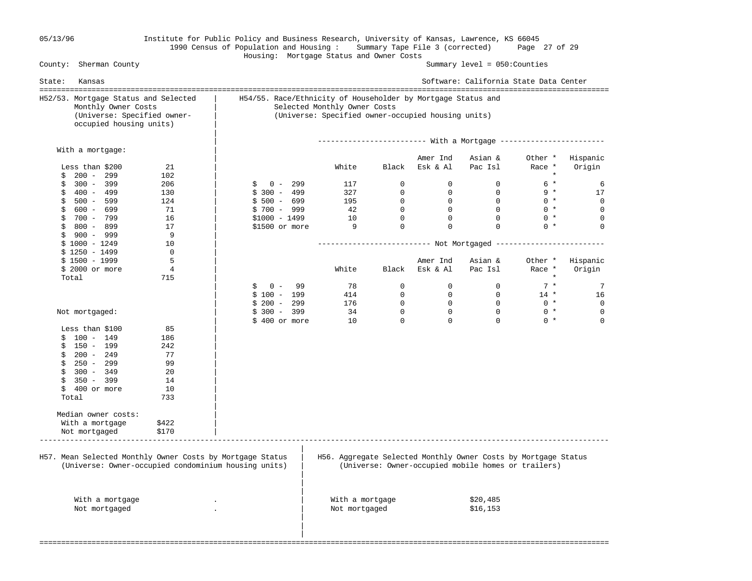# 05/13/96 Institute for Public Policy and Business Research, University of Kansas, Lawrence, KS 66045 1990 Census of Population and Housing : Summary Tape File 3 (corrected) Page 27 of 29 Housing: Mortgage Status and Owner Costs

Summary level =  $050$ : Counties

| H54/55. Race/Ethnicity of Householder by Mortgage Status and<br>(Universe: Specified owner-occupied housing units)<br>------------------------ With a Mortgage ------------------------<br>Asian &<br>Amer Ind<br>Esk & Al<br>Pac Isl<br>$\mathbf{0}$<br>$\overline{0}$<br>$\mathbf{0}$<br>$\Omega$<br>$\mathbf{0}$<br>$\overline{0}$<br>$\overline{0}$<br>$\Omega$<br>$\Omega$<br>$\Omega$<br>$\Omega$<br>$\Omega$ | Other *<br>Race *<br>$\star$<br>$6*$<br>$9 *$<br>$0 *$<br>$0 *$                                  | Hispanic<br>Origin<br>6<br>17                                                                                         |
|---------------------------------------------------------------------------------------------------------------------------------------------------------------------------------------------------------------------------------------------------------------------------------------------------------------------------------------------------------------------------------------------------------------------|--------------------------------------------------------------------------------------------------|-----------------------------------------------------------------------------------------------------------------------|
|                                                                                                                                                                                                                                                                                                                                                                                                                     |                                                                                                  |                                                                                                                       |
|                                                                                                                                                                                                                                                                                                                                                                                                                     |                                                                                                  |                                                                                                                       |
|                                                                                                                                                                                                                                                                                                                                                                                                                     |                                                                                                  |                                                                                                                       |
|                                                                                                                                                                                                                                                                                                                                                                                                                     |                                                                                                  |                                                                                                                       |
|                                                                                                                                                                                                                                                                                                                                                                                                                     |                                                                                                  |                                                                                                                       |
|                                                                                                                                                                                                                                                                                                                                                                                                                     |                                                                                                  |                                                                                                                       |
|                                                                                                                                                                                                                                                                                                                                                                                                                     |                                                                                                  | $\mathbf 0$                                                                                                           |
|                                                                                                                                                                                                                                                                                                                                                                                                                     |                                                                                                  | $\mathbf 0$                                                                                                           |
|                                                                                                                                                                                                                                                                                                                                                                                                                     | $0 *$                                                                                            | $\Omega$                                                                                                              |
|                                                                                                                                                                                                                                                                                                                                                                                                                     | $0 *$                                                                                            | $\Omega$                                                                                                              |
|                                                                                                                                                                                                                                                                                                                                                                                                                     |                                                                                                  |                                                                                                                       |
|                                                                                                                                                                                                                                                                                                                                                                                                                     |                                                                                                  |                                                                                                                       |
|                                                                                                                                                                                                                                                                                                                                                                                                                     |                                                                                                  |                                                                                                                       |
| Asian &                                                                                                                                                                                                                                                                                                                                                                                                             | Other *                                                                                          | Hispanic                                                                                                              |
| Pac Isl                                                                                                                                                                                                                                                                                                                                                                                                             | Race *                                                                                           | Origin                                                                                                                |
|                                                                                                                                                                                                                                                                                                                                                                                                                     | $\star$                                                                                          |                                                                                                                       |
| $\Omega$                                                                                                                                                                                                                                                                                                                                                                                                            | $7 *$                                                                                            | 7                                                                                                                     |
| $\overline{0}$                                                                                                                                                                                                                                                                                                                                                                                                      | $14$ *                                                                                           | 16                                                                                                                    |
| $\overline{0}$                                                                                                                                                                                                                                                                                                                                                                                                      | $0 *$                                                                                            | 0                                                                                                                     |
| $\Omega$                                                                                                                                                                                                                                                                                                                                                                                                            | $0 *$                                                                                            | $\mathbf 0$                                                                                                           |
| $\Omega$                                                                                                                                                                                                                                                                                                                                                                                                            | $0 *$                                                                                            | $\Omega$                                                                                                              |
|                                                                                                                                                                                                                                                                                                                                                                                                                     |                                                                                                  |                                                                                                                       |
|                                                                                                                                                                                                                                                                                                                                                                                                                     |                                                                                                  |                                                                                                                       |
|                                                                                                                                                                                                                                                                                                                                                                                                                     |                                                                                                  |                                                                                                                       |
|                                                                                                                                                                                                                                                                                                                                                                                                                     |                                                                                                  |                                                                                                                       |
|                                                                                                                                                                                                                                                                                                                                                                                                                     |                                                                                                  |                                                                                                                       |
|                                                                                                                                                                                                                                                                                                                                                                                                                     |                                                                                                  |                                                                                                                       |
|                                                                                                                                                                                                                                                                                                                                                                                                                     |                                                                                                  |                                                                                                                       |
|                                                                                                                                                                                                                                                                                                                                                                                                                     |                                                                                                  |                                                                                                                       |
|                                                                                                                                                                                                                                                                                                                                                                                                                     |                                                                                                  |                                                                                                                       |
|                                                                                                                                                                                                                                                                                                                                                                                                                     |                                                                                                  |                                                                                                                       |
|                                                                                                                                                                                                                                                                                                                                                                                                                     |                                                                                                  |                                                                                                                       |
|                                                                                                                                                                                                                                                                                                                                                                                                                     |                                                                                                  |                                                                                                                       |
|                                                                                                                                                                                                                                                                                                                                                                                                                     |                                                                                                  |                                                                                                                       |
| \$20,485<br>\$16,153                                                                                                                                                                                                                                                                                                                                                                                                |                                                                                                  |                                                                                                                       |
|                                                                                                                                                                                                                                                                                                                                                                                                                     | Amer Ind<br>Black Esk & Al<br>$\Omega$<br>$\mathbf 0$<br>$\mathbf 0$<br>$\mathbf{0}$<br>$\Omega$ | H56. Aggregate Selected Monthly Owner Costs by Mortgage Status<br>(Universe: Owner-occupied mobile homes or trailers) |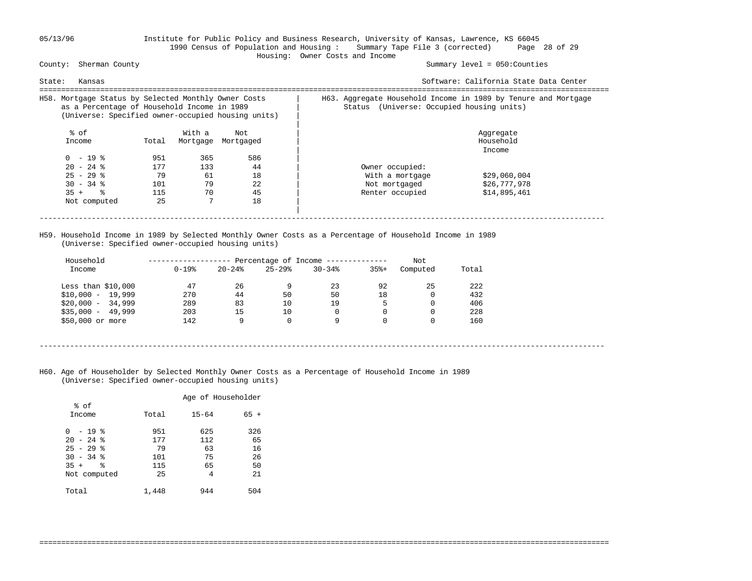### 05/13/96 Institute for Public Policy and Business Research, University of Kansas, Lawrence, KS 66045 1990 Census of Population and Housing : Summary Tape File 3 (corrected) Page 28 of 29 Housing: Owner Costs and Income

### Summary level =  $050$ : Counties

| Kansas<br>State:                                                                                                                                          |                  |                |                           | Software: California State Data Center                                                                         |
|-----------------------------------------------------------------------------------------------------------------------------------------------------------|------------------|----------------|---------------------------|----------------------------------------------------------------------------------------------------------------|
| H58. Mortgage Status by Selected Monthly Owner Costs<br>as a Percentage of Household Income in 1989<br>(Universe: Specified owner-occupied housing units) |                  |                |                           | H63. Aggregate Household Income in 1989 by Tenure and Mortgage<br>(Universe: Occupied housing units)<br>Status |
| % of<br>Income                                                                                                                                            | Total            | With a         | Not<br>Mortgage Mortgaged | Aggregate<br>Household<br>Income                                                                               |
| $0 - 19$ %<br>$20 - 24$ %                                                                                                                                 | 951<br>177       | 365<br>133     | 586<br>44                 | Owner occupied:                                                                                                |
| $25 - 29$ %<br>$30 - 34$ %<br>$35 +$ $\frac{6}{3}$                                                                                                        | 79<br>101<br>115 | 61<br>79<br>70 | 18<br>22<br>45            | With a mortgage<br>\$29,060,004<br>\$26,777,978<br>Not mortgaged                                               |
| Not computed                                                                                                                                              | 25               |                | 18                        |                                                                                                                |
|                                                                                                                                                           |                  |                |                           | Renter occupied<br>\$14,895,461                                                                                |

 H59. Household Income in 1989 by Selected Monthly Owner Costs as a Percentage of Household Income in 1989 (Universe: Specified owner-occupied housing units)

| Household<br>Income | $0 - 19$ % | $20 - 24$ | $25 - 29$ | Percentage of Income -------------<br>$30 - 34$ | $35% +$ | Not<br>Computed | Total |
|---------------------|------------|-----------|-----------|-------------------------------------------------|---------|-----------------|-------|
| Less than $$10,000$ | 47         | 26        | 9         | 23                                              | 92      | 25              | 222   |
| $$10,000 - 19,999$  | 270        | 44        | 50        | 50                                              | 18      | 0               | 432   |
| $$20,000 - 34,999$  | 289        | 83        | 10        | 19                                              | 5.      |                 | 406   |
| $$35,000 - 49,999$  | 203        | 15        | 10        | $\Omega$                                        |         |                 | 228   |
| \$50,000 or more    | 142        | q         | 0         | 9                                               |         |                 | 160   |

- ----------------------------------------------------------------------------------------------------------------------------------
- H60. Age of Householder by Selected Monthly Owner Costs as a Percentage of Household Income in 1989 (Universe: Specified owner-occupied housing units)

|                |       | Age of Householder |        |
|----------------|-------|--------------------|--------|
| % of<br>Income | Total | $15 - 64$          | $65 +$ |
| - 19 %<br>0    | 951   | 625                | 326    |
| $20 - 24$ %    | 177   | 112                | 65     |
| $25 - 29$ %    | 79    | 63                 | 16     |
| $30 - 34$ %    | 101   | 75                 | 26     |
| ٩,<br>$35 +$   | 115   | 65                 | 50     |
| Not computed   | 25    | 4                  | 21     |
| Total          | 1,448 | 944                | 504    |